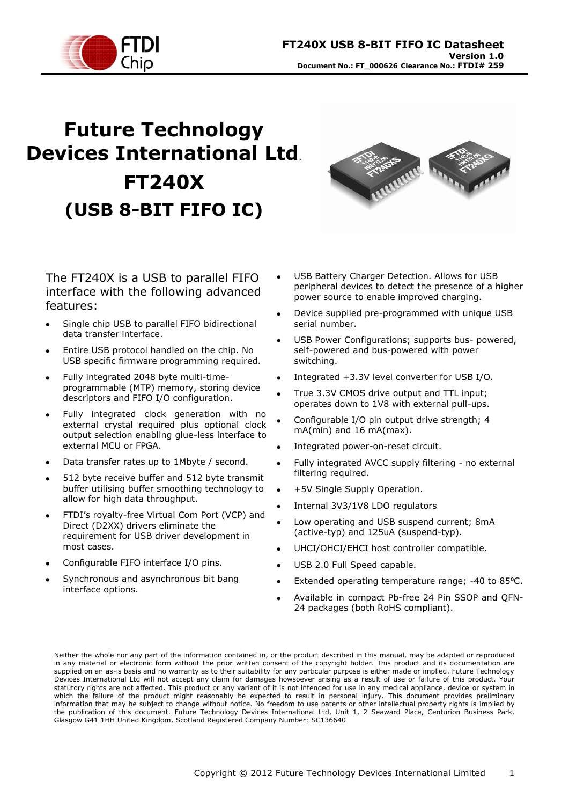

# **Future Technology Devices International Ltd**. **FT240X (USB 8-BIT FIFO IC)**



The FT240X is a USB to parallel FIFO interface with the following advanced features:

- Single chip USB to parallel FIFO bidirectional data transfer interface.
- Entire USB protocol handled on the chip. No USB specific firmware programming required.
- Fully integrated 2048 byte multi-timeprogrammable (MTP) memory, storing device descriptors and FIFO I/O configuration.
- Fully integrated clock generation with no external crystal required plus optional clock output selection enabling glue-less interface to external MCU or FPGA.
- Data transfer rates up to 1Mbyte / second.
- 512 byte receive buffer and 512 byte transmit buffer utilising buffer smoothing technology to allow for high data throughput.
- FTDI"s royalty-free Virtual Com Port (VCP) and Direct (D2XX) drivers eliminate the requirement for USB driver development in most cases.
- Configurable FIFO interface I/O pins.
- Synchronous and asynchronous bit bang interface options.
- USB Battery Charger Detection. Allows for USB peripheral devices to detect the presence of a higher power source to enable improved charging.
- Device supplied pre-programmed with unique USB serial number.
- USB Power Configurations; supports bus- powered, self-powered and bus-powered with power switching.
- Integrated +3.3V level converter for USB I/O.
- True 3.3V CMOS drive output and TTL input; operates down to 1V8 with external pull-ups.
- Configurable I/O pin output drive strength; 4 mA(min) and 16 mA(max).
- Integrated power-on-reset circuit.
- Fully integrated AVCC supply filtering no external filtering required.
- +5V Single Supply Operation.
- Internal 3V3/1V8 LDO regulators
- Low operating and USB suspend current; 8mA (active-typ) and 125uA (suspend-typ).
- UHCI/OHCI/EHCI host controller compatible.
- USB 2.0 Full Speed capable.
- Extended operating temperature range; -40 to 85 °C.
- Available in compact Pb-free 24 Pin SSOP and QFN-24 packages (both RoHS compliant).

Neither the whole nor any part of the information contained in, or the product described in this manual, may be adapted or reproduced in any material or electronic form without the prior written consent of the copyright holder. This product and its documentation are supplied on an as-is basis and no warranty as to their suitability for any particular purpose is either made or implied. Future Technology Devices International Ltd will not accept any claim for damages howsoever arising as a result of use or failure of this product. Your statutory rights are not affected. This product or any variant of it is not intended for use in any medical appliance, device or system in which the failure of the product might reasonably be expected to result in personal injury. This document provides preliminary information that may be subject to change without notice. No freedom to use patents or other intellectual property rights is implied by the publication of this document. Future Technology Devices International Ltd, Unit 1, 2 Seaward Place, Centurion Business Park, Glasgow G41 1HH United Kingdom. Scotland Registered Company Number: SC136640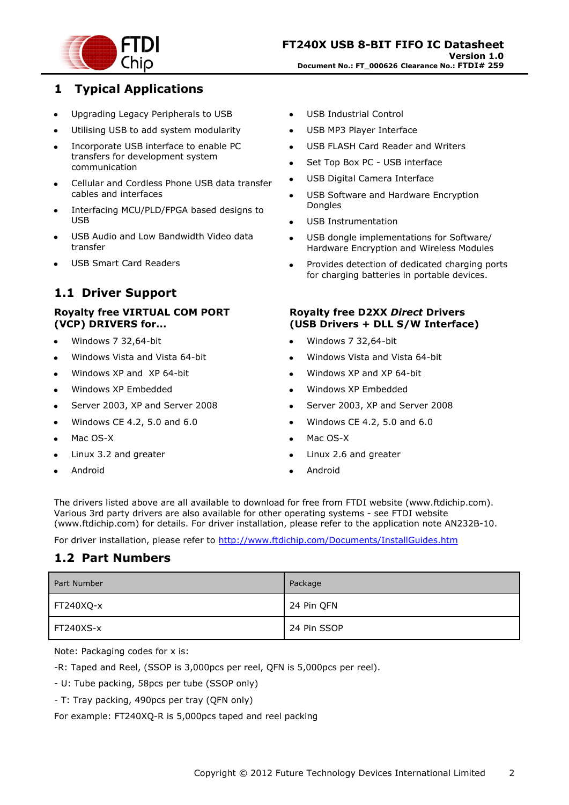

### <span id="page-1-0"></span>**1 Typical Applications**

- Upgrading Legacy Peripherals to USB  $\bullet$
- Utilising USB to add system modularity
- Incorporate USB interface to enable PC transfers for development system communication
- Cellular and Cordless Phone USB data transfer cables and interfaces
- Interfacing MCU/PLD/FPGA based designs to USB
- USB Audio and Low Bandwidth Video data transfer
- USB Smart Card Readers

### <span id="page-1-1"></span>**1.1 Driver Support**

#### **Royalty free VIRTUAL COM PORT (VCP) DRIVERS for...**

- Windows 7 32,64-bit
- Windows Vista and Vista 64-bit
- Windows XP and XP 64-bit
- Windows XP Embedded
- Server 2003, XP and Server 2008
- Windows CE 4.2, 5.0 and 6.0
- Mac OS-X
- Linux 3.2 and greater
- Android
- USB Industrial Control  $\bullet$
- USB MP3 Player Interface  $\bullet$
- USB FLASH Card Reader and Writers  $\bullet$
- Set Top Box PC USB interface
- USB Digital Camera Interface
- USB Software and Hardware Encryption Dongles
- USB Instrumentation
- USB dongle implementations for Software/ Hardware Encryption and Wireless Modules
- Provides detection of dedicated charging ports for charging batteries in portable devices.

#### **Royalty free D2XX** *Direct* **Drivers (USB Drivers + DLL S/W Interface)**

- Windows 7 32,64-bit
- Windows Vista and Vista 64-bit
- Windows XP and XP 64-bit
- Windows XP Embedded
- Server 2003, XP and Server 2008
- Windows CE 4.2, 5.0 and 6.0
- Mac OS-X
- Linux 2.6 and greater
- Android

The drivers listed above are all available to download for free from [FTDI website](http://www.ftdichip.com/) [\(www.ftdichip.com\)](file://glaspssv1/General/Engineering/Engineering%20_Documents/DS_FT245R/DS_FT245R_200/www.ftdichip.com). Various 3rd party drivers are also available for other operating systems - see [FTDI website](http://www.ftdichip.com/) [\(www.ftdichip.com\)](http://www.ftdichip.com/) for details. For driver installation, please refer to the application note [AN232B-10.](http://ftdichip.com/Documents/AppNotes/AN232B-10_Advanced_Driver_Options.pdf)

For driver installation, please refer to <http://www.ftdichip.com/Documents/InstallGuides.htm>

### <span id="page-1-2"></span>**1.2 Part Numbers**

| <b>Part Number</b> | Package     |
|--------------------|-------------|
| <b>FT240XQ-x</b>   | 24 Pin QFN  |
| $FT240XS-x$        | 24 Pin SSOP |

Note: Packaging codes for x is:

-R: Taped and Reel, (SSOP is 3,000pcs per reel, QFN is 5,000pcs per reel).

- U: Tube packing, 58pcs per tube (SSOP only)

- T: Tray packing, 490pcs per tray (QFN only)

For example: FT240XQ-R is 5,000pcs taped and reel packing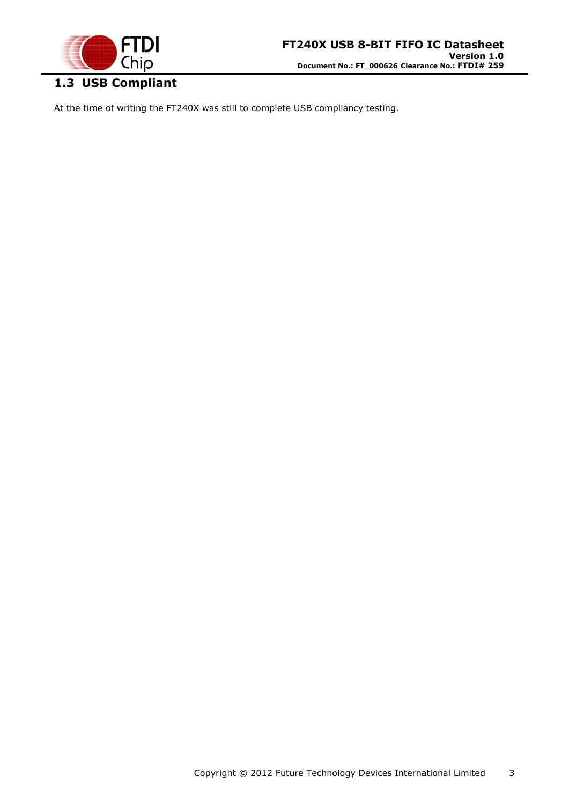

# <span id="page-2-0"></span>**1.3 USB Compliant**

At the time of writing the FT240X was still to complete USB compliancy testing.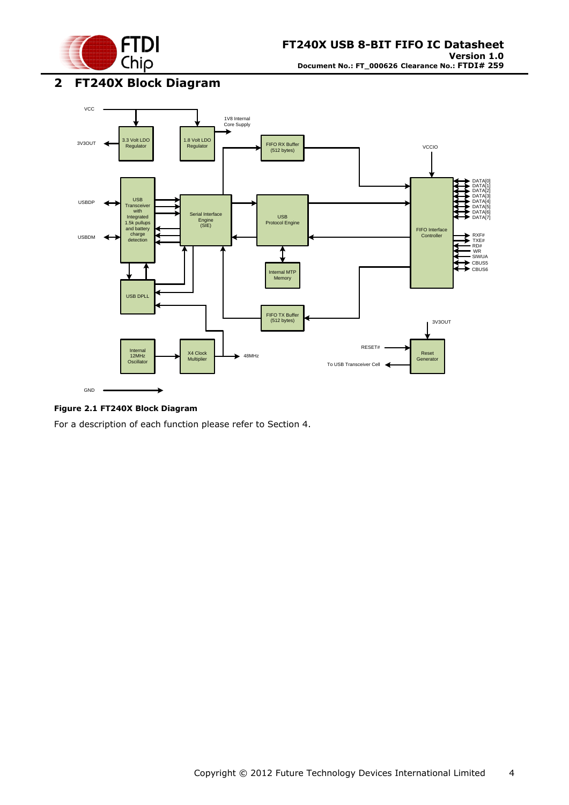

<span id="page-3-0"></span>**2 FT240X Block Diagram**



#### <span id="page-3-1"></span>**Figure 2.1 FT240X Block Diagram**

For a description of each function please refer to Section 4.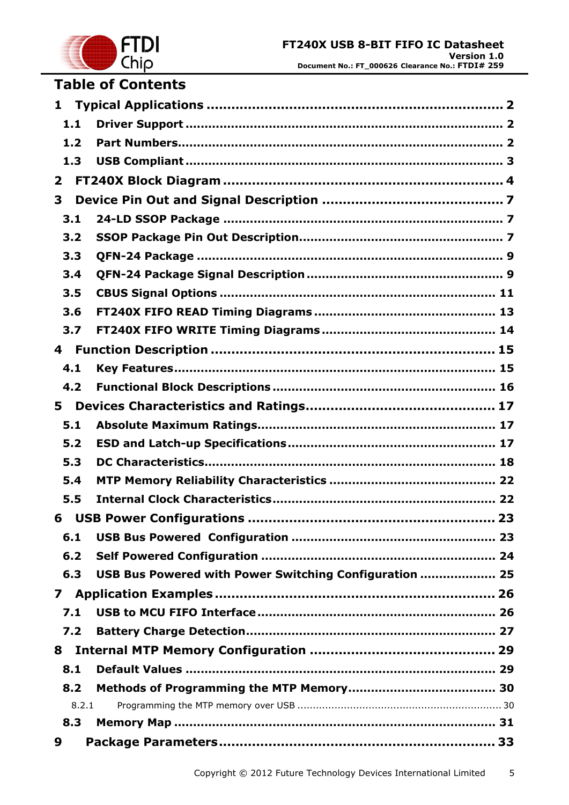

# **Table of Contents**

| $\mathbf{1}$ |       |                                                        |  |  |  |  |  |
|--------------|-------|--------------------------------------------------------|--|--|--|--|--|
|              | 1.1   |                                                        |  |  |  |  |  |
|              | 1.2   |                                                        |  |  |  |  |  |
|              | 1.3   |                                                        |  |  |  |  |  |
| $\mathbf{2}$ |       |                                                        |  |  |  |  |  |
| 3            |       |                                                        |  |  |  |  |  |
|              | 3.1   |                                                        |  |  |  |  |  |
|              | 3.2   |                                                        |  |  |  |  |  |
|              | 3.3   |                                                        |  |  |  |  |  |
|              | 3.4   |                                                        |  |  |  |  |  |
|              | 3.5   |                                                        |  |  |  |  |  |
|              | 3.6   |                                                        |  |  |  |  |  |
|              | 3.7   |                                                        |  |  |  |  |  |
| 4            |       |                                                        |  |  |  |  |  |
|              | 4.1   |                                                        |  |  |  |  |  |
|              | 4.2   |                                                        |  |  |  |  |  |
| 5.           |       |                                                        |  |  |  |  |  |
|              | 5.1   |                                                        |  |  |  |  |  |
|              | 5.2   |                                                        |  |  |  |  |  |
|              | 5.3   |                                                        |  |  |  |  |  |
|              | 5.4   |                                                        |  |  |  |  |  |
|              | 5.5   |                                                        |  |  |  |  |  |
| 6            |       |                                                        |  |  |  |  |  |
|              | 6.1   |                                                        |  |  |  |  |  |
|              | 6.2   |                                                        |  |  |  |  |  |
|              | 6.3   | USB Bus Powered with Power Switching Configuration  25 |  |  |  |  |  |
| $\mathbf{7}$ |       |                                                        |  |  |  |  |  |
|              | 7.1   |                                                        |  |  |  |  |  |
|              | 7.2   |                                                        |  |  |  |  |  |
| 8            |       |                                                        |  |  |  |  |  |
|              | 8.1   |                                                        |  |  |  |  |  |
|              | 8.2   |                                                        |  |  |  |  |  |
|              | 8.2.1 |                                                        |  |  |  |  |  |
|              | 8.3   |                                                        |  |  |  |  |  |
| 9            |       |                                                        |  |  |  |  |  |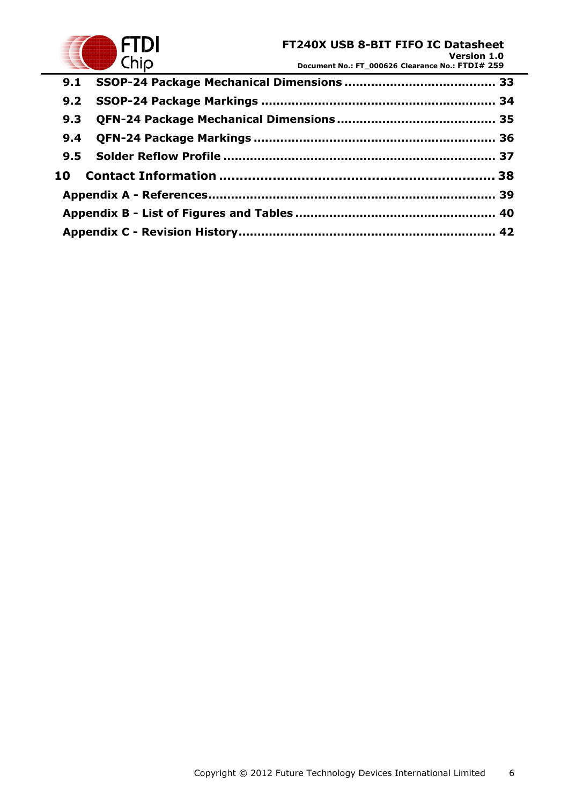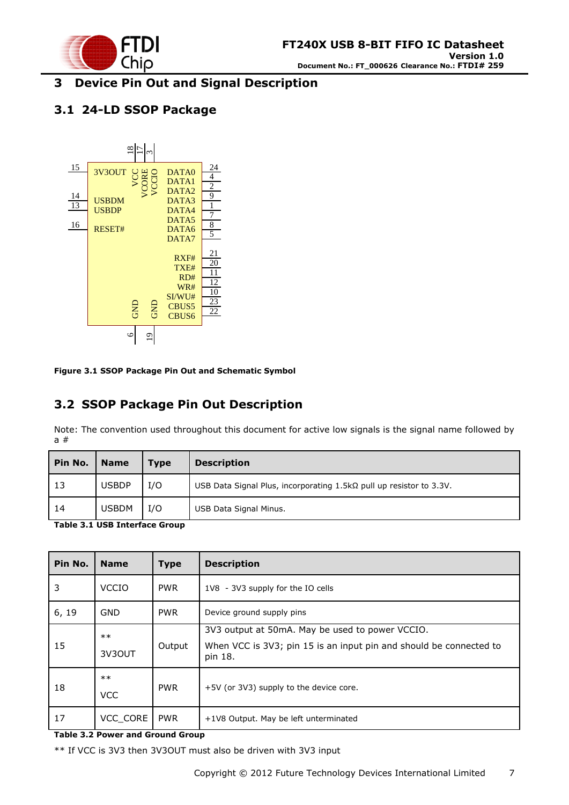

### <span id="page-6-0"></span>**3 Device Pin Out and Signal Description**

### <span id="page-6-1"></span>**3.1 24-LD SSOP Package**



<span id="page-6-3"></span>**Figure 3.1 SSOP Package Pin Out and Schematic Symbol**

### <span id="page-6-2"></span>**3.2 SSOP Package Pin Out Description**

Note: The convention used throughout this document for active low signals is the signal name followed by a #

| Pin No. | <b>Name</b>  | <b>Type</b> | <b>Description</b>                                                         |  |
|---------|--------------|-------------|----------------------------------------------------------------------------|--|
| 13      | <b>USBDP</b> | I/O         | USB Data Signal Plus, incorporating $1.5k\Omega$ pull up resistor to 3.3V. |  |
| 14      | <b>USBDM</b> | I/O         | USB Data Signal Minus.                                                     |  |

<span id="page-6-4"></span>**Table 3.1 USB Interface Group**

| Pin No. | <b>Name</b>        | <b>Type</b> | <b>Description</b>                                                                                                               |  |
|---------|--------------------|-------------|----------------------------------------------------------------------------------------------------------------------------------|--|
| 3       | <b>VCCIO</b>       | <b>PWR</b>  | 1V8 - 3V3 supply for the IO cells                                                                                                |  |
| 6, 19   | <b>GND</b>         | <b>PWR</b>  | Device ground supply pins                                                                                                        |  |
| 15      | $**$<br>3V3OUT     | Output      | 3V3 output at 50mA. May be used to power VCCIO.<br>When VCC is 3V3; pin 15 is an input pin and should be connected to<br>pin 18. |  |
| 18      | $**$<br><b>VCC</b> | <b>PWR</b>  | +5V (or 3V3) supply to the device core.                                                                                          |  |
| 17      | VCC CORE           | <b>PWR</b>  | +1V8 Output. May be left unterminated                                                                                            |  |

#### <span id="page-6-5"></span>**Table 3.2 Power and Ground Group**

\*\* If VCC is 3V3 then 3V3OUT must also be driven with 3V3 input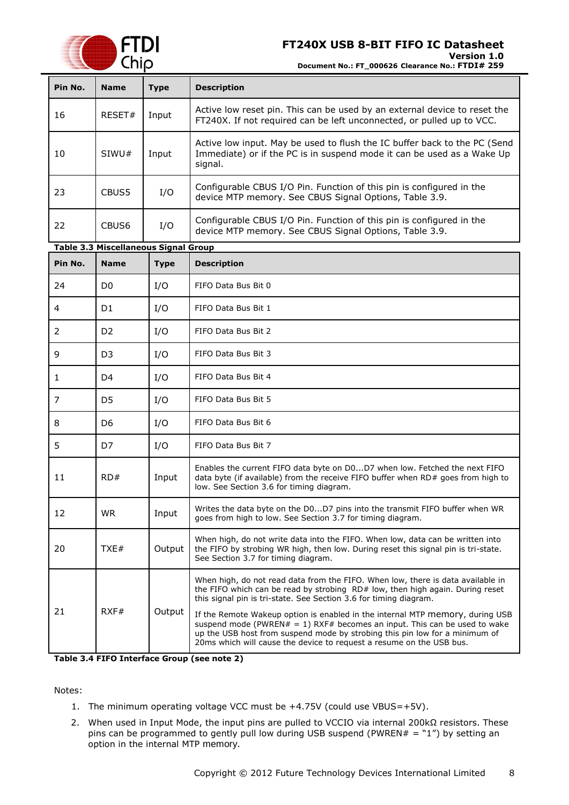

**Document No.: FT\_000626 Clearance No.: FTDI# 259**

<span id="page-7-1"></span>

| Pin No.                                 | <b>Name</b>                                 | <b>Type</b> | <b>Description</b>                                                                                                                                                                                                                                                                                                                                                                                                                                                                                                                                         |  |
|-----------------------------------------|---------------------------------------------|-------------|------------------------------------------------------------------------------------------------------------------------------------------------------------------------------------------------------------------------------------------------------------------------------------------------------------------------------------------------------------------------------------------------------------------------------------------------------------------------------------------------------------------------------------------------------------|--|
| 16                                      | RESET#<br>Input                             |             | Active low reset pin. This can be used by an external device to reset the<br>FT240X. If not required can be left unconnected, or pulled up to VCC.                                                                                                                                                                                                                                                                                                                                                                                                         |  |
| 10                                      | SIWU#                                       | Input       | Active low input. May be used to flush the IC buffer back to the PC (Send<br>Immediate) or if the PC is in suspend mode it can be used as a Wake Up<br>signal.                                                                                                                                                                                                                                                                                                                                                                                             |  |
| 23                                      | CBUS5                                       | I/O         | Configurable CBUS I/O Pin. Function of this pin is configured in the<br>device MTP memory. See CBUS Signal Options, Table 3.9.                                                                                                                                                                                                                                                                                                                                                                                                                             |  |
| 22                                      | CBUS <sub>6</sub>                           | I/O         | Configurable CBUS I/O Pin. Function of this pin is configured in the<br>device MTP memory. See CBUS Signal Options, Table 3.9.                                                                                                                                                                                                                                                                                                                                                                                                                             |  |
|                                         | <b>Table 3.3 Miscellaneous Signal Group</b> |             |                                                                                                                                                                                                                                                                                                                                                                                                                                                                                                                                                            |  |
| Pin No.                                 | <b>Name</b>                                 | <b>Type</b> | <b>Description</b>                                                                                                                                                                                                                                                                                                                                                                                                                                                                                                                                         |  |
| 24                                      | D <sub>0</sub>                              | I/O         | FIFO Data Bus Bit 0                                                                                                                                                                                                                                                                                                                                                                                                                                                                                                                                        |  |
| 4                                       | D <sub>1</sub>                              | I/O         | FIFO Data Bus Bit 1                                                                                                                                                                                                                                                                                                                                                                                                                                                                                                                                        |  |
| 2                                       | D <sub>2</sub>                              | I/O         | FIFO Data Bus Bit 2                                                                                                                                                                                                                                                                                                                                                                                                                                                                                                                                        |  |
| 9                                       | D <sub>3</sub><br>I/O                       |             | FIFO Data Bus Bit 3                                                                                                                                                                                                                                                                                                                                                                                                                                                                                                                                        |  |
| D <sub>4</sub><br>I/O<br>1              |                                             |             | FIFO Data Bus Bit 4                                                                                                                                                                                                                                                                                                                                                                                                                                                                                                                                        |  |
| $\overline{7}$<br>D <sub>5</sub><br>I/O |                                             |             | FIFO Data Bus Bit 5                                                                                                                                                                                                                                                                                                                                                                                                                                                                                                                                        |  |
| 8                                       | I/O<br>D6                                   |             | FIFO Data Bus Bit 6                                                                                                                                                                                                                                                                                                                                                                                                                                                                                                                                        |  |
| 5<br>D7<br>I/O                          |                                             |             | FIFO Data Bus Bit 7                                                                                                                                                                                                                                                                                                                                                                                                                                                                                                                                        |  |
| 11                                      | RD#<br>Input                                |             | Enables the current FIFO data byte on D0D7 when low. Fetched the next FIFO<br>data byte (if available) from the receive FIFO buffer when RD# goes from high to<br>low. See Section 3.6 for timing diagram.                                                                                                                                                                                                                                                                                                                                                 |  |
| 12                                      | <b>WR</b><br>Input                          |             | Writes the data byte on the D0D7 pins into the transmit FIFO buffer when WR<br>goes from high to low. See Section 3.7 for timing diagram.                                                                                                                                                                                                                                                                                                                                                                                                                  |  |
| 20                                      | TXE#                                        | Output      | When high, do not write data into the FIFO. When low, data can be written into<br>the FIFO by strobing WR high, then low. During reset this signal pin is tri-state.<br>See Section 3.7 for timing diagram.                                                                                                                                                                                                                                                                                                                                                |  |
| 21                                      | RXF#                                        | Output      | When high, do not read data from the FIFO. When low, there is data available in<br>the FIFO which can be read by strobing RD# low, then high again. During reset<br>this signal pin is tri-state. See Section 3.6 for timing diagram.<br>If the Remote Wakeup option is enabled in the internal MTP memory, during USB<br>suspend mode (PWREN# = 1) RXF# becomes an input. This can be used to wake<br>up the USB host from suspend mode by strobing this pin low for a minimum of<br>20ms which will cause the device to request a resume on the USB bus. |  |

<span id="page-7-2"></span>**Table 3.4 FIFO Interface Group (see note 2)**

Notes:

- 1. The minimum operating voltage VCC must be +4.75V (could use VBUS=+5V).
- <span id="page-7-0"></span>2. When used in Input Mode, the input pins are pulled to VCCIO via internal 200kΩ resistors. These pins can be programmed to gently pull low during USB suspend (PWREN# = "1") by setting an option in the internal MTP memory.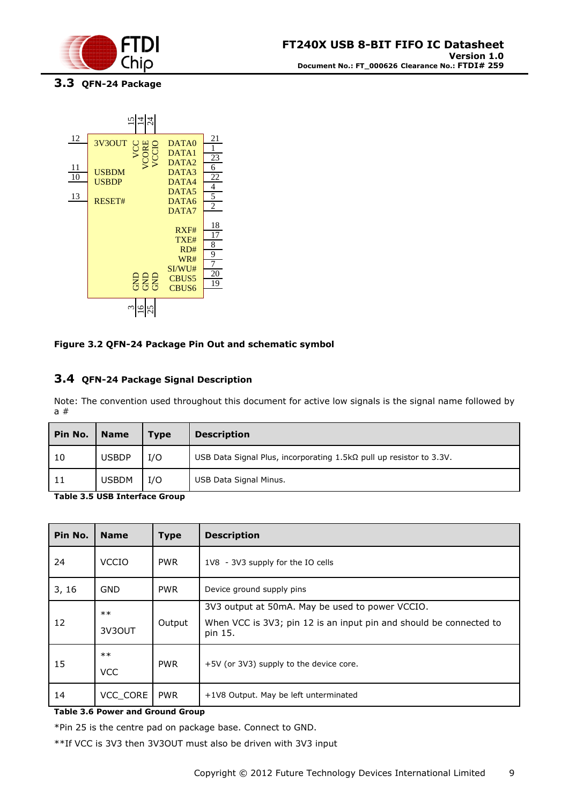

<span id="page-8-0"></span>**3.3 QFN-24 Package**



#### <span id="page-8-2"></span>**Figure 3.2 QFN-24 Package Pin Out and schematic symbol**

#### <span id="page-8-1"></span>**3.4 QFN-24 Package Signal Description**

Note: The convention used throughout this document for active low signals is the signal name followed by a #

| Pin No. | <b>Name</b>  | <b>Type</b> | <b>Description</b>                                                         |  |
|---------|--------------|-------------|----------------------------------------------------------------------------|--|
| 10      | <b>USBDP</b> | I/O         | USB Data Signal Plus, incorporating $1.5k\Omega$ pull up resistor to 3.3V. |  |
| 11      | <b>USBDM</b> | I/O         | USB Data Signal Minus.                                                     |  |

<span id="page-8-3"></span>**Table 3.5 USB Interface Group**

| Pin No. | <b>Name</b>         | <b>Type</b> | <b>Description</b>                                                                                                               |  |
|---------|---------------------|-------------|----------------------------------------------------------------------------------------------------------------------------------|--|
| 24      | <b>VCCIO</b>        | <b>PWR</b>  | 1V8 - 3V3 supply for the IO cells                                                                                                |  |
| 3, 16   | <b>GND</b>          | <b>PWR</b>  | Device ground supply pins                                                                                                        |  |
| 12      | $***$<br>3V3OUT     | Output      | 3V3 output at 50mA. May be used to power VCCIO.<br>When VCC is 3V3; pin 12 is an input pin and should be connected to<br>pin 15. |  |
| 15      | $***$<br><b>VCC</b> | <b>PWR</b>  | +5V (or 3V3) supply to the device core.                                                                                          |  |
| 14      | VCC CORE            | <b>PWR</b>  | +1V8 Output. May be left unterminated                                                                                            |  |

#### <span id="page-8-4"></span>**Table 3.6 Power and Ground Group**

\*Pin 25 is the centre pad on package base. Connect to GND.

\*\*If VCC is 3V3 then 3V3OUT must also be driven with 3V3 input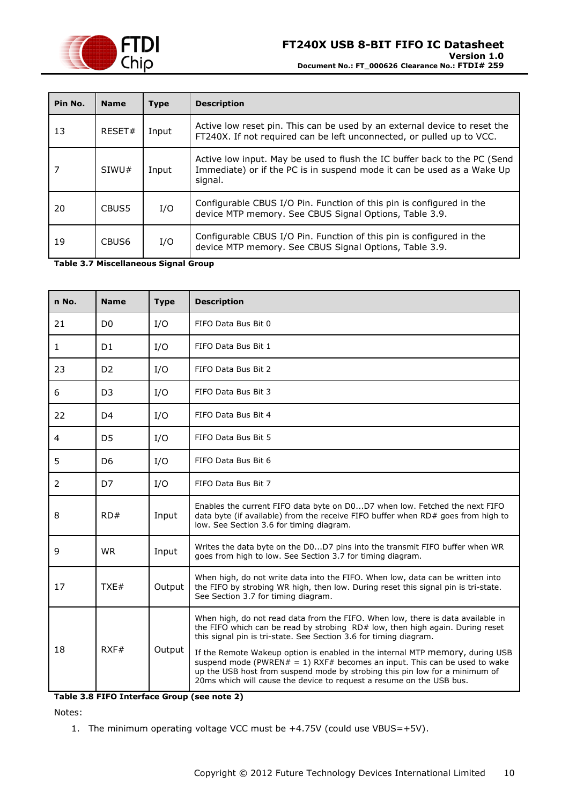

| Pin No. | <b>Name</b>       | <b>Type</b> | <b>Description</b>                                                                                                                                             |  |
|---------|-------------------|-------------|----------------------------------------------------------------------------------------------------------------------------------------------------------------|--|
| 13      | RFSFT#            | Input       | Active low reset pin. This can be used by an external device to reset the<br>FT240X. If not required can be left unconnected, or pulled up to VCC.             |  |
|         | SIWU#             | Input       | Active low input. May be used to flush the IC buffer back to the PC (Send<br>Immediate) or if the PC is in suspend mode it can be used as a Wake Up<br>signal. |  |
| 20      | CBUS5             | I/O         | Configurable CBUS I/O Pin. Function of this pin is configured in the<br>device MTP memory. See CBUS Signal Options, Table 3.9.                                 |  |
| 19      | CBUS <sub>6</sub> | I/O         | Configurable CBUS I/O Pin. Function of this pin is configured in the<br>device MTP memory. See CBUS Signal Options, Table 3.9.                                 |  |

<span id="page-9-0"></span>**Table 3.7 Miscellaneous Signal Group**

| n No. | <b>Name</b>                                                                                                                                                 | <b>Type</b> | <b>Description</b>                                                                                                                                                                                                                                                                                                                                                                                                |  |
|-------|-------------------------------------------------------------------------------------------------------------------------------------------------------------|-------------|-------------------------------------------------------------------------------------------------------------------------------------------------------------------------------------------------------------------------------------------------------------------------------------------------------------------------------------------------------------------------------------------------------------------|--|
| 21    | D <sub>0</sub>                                                                                                                                              | I/O         | FIFO Data Bus Bit 0                                                                                                                                                                                                                                                                                                                                                                                               |  |
| 1     | D <sub>1</sub>                                                                                                                                              | I/O         | FIFO Data Bus Bit 1                                                                                                                                                                                                                                                                                                                                                                                               |  |
| 23    | D <sub>2</sub>                                                                                                                                              | I/O         | FIFO Data Bus Bit 2                                                                                                                                                                                                                                                                                                                                                                                               |  |
| 6     | D <sub>3</sub>                                                                                                                                              | I/O         | FIFO Data Bus Bit 3                                                                                                                                                                                                                                                                                                                                                                                               |  |
| 22    | D <sub>4</sub>                                                                                                                                              | I/O         | FIFO Data Bus Bit 4                                                                                                                                                                                                                                                                                                                                                                                               |  |
| 4     | D <sub>5</sub>                                                                                                                                              | I/O         | FIFO Data Bus Bit 5                                                                                                                                                                                                                                                                                                                                                                                               |  |
| 5     | D <sub>6</sub>                                                                                                                                              | I/O         | FIFO Data Bus Bit 6                                                                                                                                                                                                                                                                                                                                                                                               |  |
| 2     | D7                                                                                                                                                          | I/O         | FIFO Data Bus Bit 7                                                                                                                                                                                                                                                                                                                                                                                               |  |
| 8     | RD#                                                                                                                                                         | Input       | Enables the current FIFO data byte on D0D7 when low. Fetched the next FIFO<br>data byte (if available) from the receive FIFO buffer when RD# goes from high to<br>low. See Section 3.6 for timing diagram.                                                                                                                                                                                                        |  |
| 9     | <b>WR</b>                                                                                                                                                   | Input       | Writes the data byte on the D0D7 pins into the transmit FIFO buffer when WR<br>goes from high to low. See Section 3.7 for timing diagram.                                                                                                                                                                                                                                                                         |  |
| 17    | TXE#                                                                                                                                                        | Output      | When high, do not write data into the FIFO. When low, data can be written into<br>the FIFO by strobing WR high, then low. During reset this signal pin is tri-state.<br>See Section 3.7 for timing diagram.                                                                                                                                                                                                       |  |
| 18    | this signal pin is tri-state. See Section 3.6 for timing diagram.<br>RXF#<br>Output<br>20ms which will cause the device to request a resume on the USB bus. |             | When high, do not read data from the FIFO. When low, there is data available in<br>the FIFO which can be read by strobing RD# low, then high again. During reset<br>If the Remote Wakeup option is enabled in the internal MTP memory, during USB<br>suspend mode (PWREN $# = 1$ ) RXF# becomes an input. This can be used to wake<br>up the USB host from suspend mode by strobing this pin low for a minimum of |  |

<span id="page-9-1"></span>**Table 3.8 FIFO Interface Group (see note 2)**

Notes:

1. The minimum operating voltage VCC must be +4.75V (could use VBUS=+5V).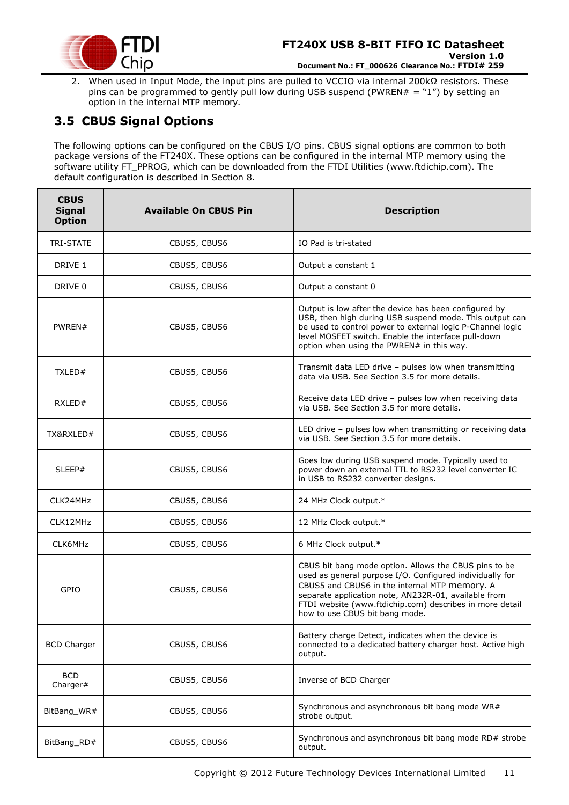

2. When used in Input Mode, the input pins are pulled to VCCIO via internal 200kΩ resistors. These pins can be programmed to gently pull low during USB suspend (PWREN# = "1") by setting an option in the internal MTP memory.

### <span id="page-10-0"></span>**3.5 CBUS Signal Options**

The following options can be configured on the CBUS I/O pins. CBUS signal options are common to both package versions of the FT240X. These options can be configured in the internal MTP memory using the software utility FT\_PPROG, which can be downloaded from the [FTDI Utilities](http://www.ftdichip.com/Resources/Utilities.htm) [\(www.ftdichip.com\)](http://www.ftdichip.com/). The default configuration is described in Section [8.](#page-28-0)

| <b>CBUS</b><br><b>Signal</b><br><b>Option</b> | <b>Available On CBUS Pin</b> | <b>Description</b>                                                                                                                                                                                                                                                                                                       |
|-----------------------------------------------|------------------------------|--------------------------------------------------------------------------------------------------------------------------------------------------------------------------------------------------------------------------------------------------------------------------------------------------------------------------|
| TRI-STATE                                     | CBUS5, CBUS6                 | IO Pad is tri-stated                                                                                                                                                                                                                                                                                                     |
| DRIVE 1                                       | CBUS5, CBUS6                 | Output a constant 1                                                                                                                                                                                                                                                                                                      |
| DRIVE 0                                       | CBUS5, CBUS6                 | Output a constant 0                                                                                                                                                                                                                                                                                                      |
| PWREN#                                        | CBUS5, CBUS6                 | Output is low after the device has been configured by<br>USB, then high during USB suspend mode. This output can<br>be used to control power to external logic P-Channel logic<br>level MOSFET switch. Enable the interface pull-down<br>option when using the PWREN# in this way.                                       |
| TXLED#                                        | CBUS5, CBUS6                 | Transmit data LED drive - pulses low when transmitting<br>data via USB. See Section 3.5 for more details.                                                                                                                                                                                                                |
| RXLED#                                        | CBUS5, CBUS6                 | Receive data LED drive - pulses low when receiving data<br>via USB. See Section 3.5 for more details.                                                                                                                                                                                                                    |
| TX&RXLED#                                     | CBUS5, CBUS6                 | LED drive - pulses low when transmitting or receiving data<br>via USB. See Section 3.5 for more details.                                                                                                                                                                                                                 |
| SLEEP#                                        | CBUS5, CBUS6                 | Goes low during USB suspend mode. Typically used to<br>power down an external TTL to RS232 level converter IC<br>in USB to RS232 converter designs.                                                                                                                                                                      |
| CLK24MHz                                      | CBUS5, CBUS6                 | 24 MHz Clock output.*                                                                                                                                                                                                                                                                                                    |
| CLK12MHz                                      | CBUS5, CBUS6                 | 12 MHz Clock output.*                                                                                                                                                                                                                                                                                                    |
| CLK6MHz                                       | CBUS5, CBUS6                 | 6 MHz Clock output.*                                                                                                                                                                                                                                                                                                     |
| GPIO                                          | CBUS5, CBUS6                 | CBUS bit bang mode option. Allows the CBUS pins to be<br>used as general purpose I/O. Configured individually for<br>CBUS5 and CBUS6 in the internal MTP memory. A<br>separate application note, AN232R-01, available from<br>FTDI website (www.ftdichip.com) describes in more detail<br>how to use CBUS bit bang mode. |
| <b>BCD Charger</b>                            | CBUS5, CBUS6                 | Battery charge Detect, indicates when the device is<br>connected to a dedicated battery charger host. Active high<br>output.                                                                                                                                                                                             |
| <b>BCD</b><br>Charger#                        | CBUS5, CBUS6                 | Inverse of BCD Charger                                                                                                                                                                                                                                                                                                   |
| BitBang_WR#                                   | CBUS5, CBUS6                 | Synchronous and asynchronous bit bang mode WR#<br>strobe output.                                                                                                                                                                                                                                                         |
| BitBang_RD#                                   | CBUS5, CBUS6                 | Synchronous and asynchronous bit bang mode RD# strobe<br>output.                                                                                                                                                                                                                                                         |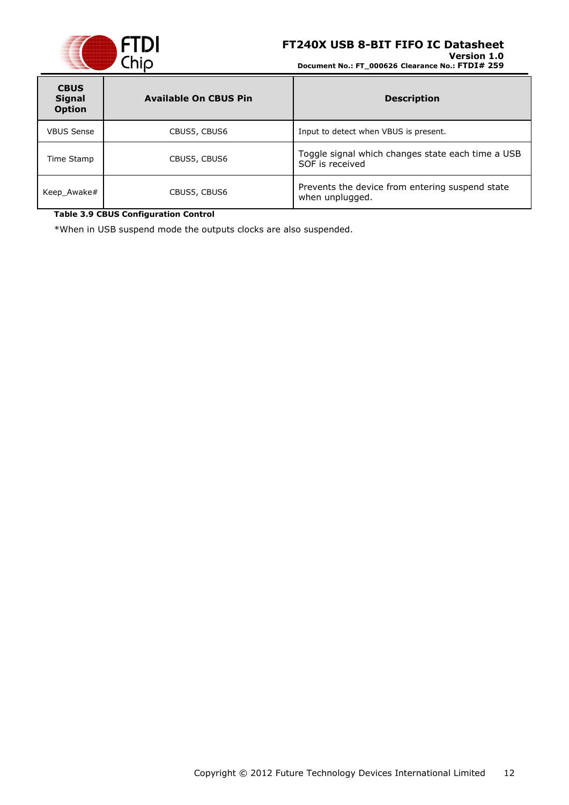

**Version 1.0 Document No.: FT\_000626 Clearance No.: FTDI# 259**

| <b>CBUS</b><br><b>Signal</b><br><b>Option</b> | <b>Available On CBUS Pin</b> | <b>Description</b>                                                   |
|-----------------------------------------------|------------------------------|----------------------------------------------------------------------|
| <b>VBUS Sense</b>                             | CBUS5, CBUS6                 | Input to detect when VBUS is present.                                |
| Time Stamp                                    | CBUS5, CBUS6                 | Toggle signal which changes state each time a USB<br>SOF is received |
| Keep_Awake#                                   | CBUS5, CBUS6                 | Prevents the device from entering suspend state<br>when unplugged.   |

#### <span id="page-11-0"></span>**Table 3.9 CBUS Configuration Control**

\*When in USB suspend mode the outputs clocks are also suspended.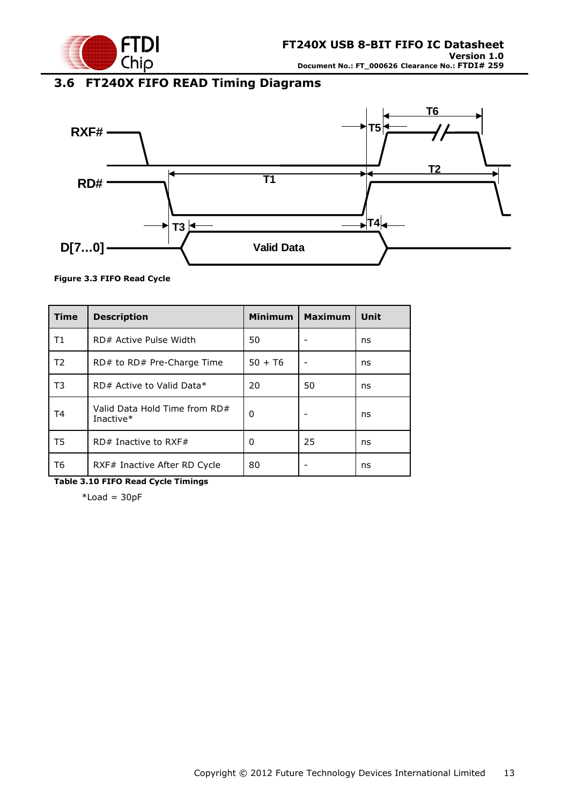

# <span id="page-12-0"></span>**3.6 FT240X FIFO READ Timing Diagrams**



#### <span id="page-12-1"></span>**Figure 3.3 FIFO Read Cycle**

| <b>Time</b>    | <b>Description</b>                         | <b>Minimum</b> | <b>Maximum</b> | Unit |
|----------------|--------------------------------------------|----------------|----------------|------|
| Τ1             | RD# Active Pulse Width                     | 50             |                | ns   |
| T <sub>2</sub> | $RD#$ to $RD#$ Pre-Charge Time             | $50 + 76$      |                | ns   |
| T3             | RD# Active to Valid Data*                  | 20             | 50             | ns   |
| Τ4             | Valid Data Hold Time from RD#<br>Inactive* | 0              |                | ns   |
| T5             | $RD#$ Inactive to RXF#                     | 0              | 25             | ns   |
| Т6             | RXF# Inactive After RD Cycle               | 80             |                | ns   |

<span id="page-12-2"></span>**Table 3.10 FIFO Read Cycle Timings**

 $*$ Load = 30pF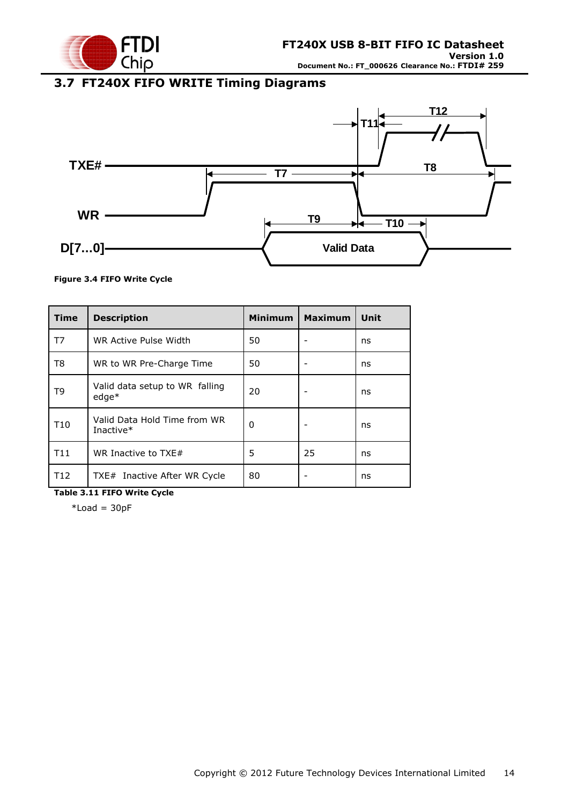

### <span id="page-13-0"></span>**3.7 FT240X FIFO WRITE Timing Diagrams**



#### <span id="page-13-1"></span>**Figure 3.4 FIFO Write Cycle**

| <b>Time</b>     | <b>Description</b>                        | <b>Minimum</b> | <b>Maximum</b> | Unit |
|-----------------|-------------------------------------------|----------------|----------------|------|
| T7              | WR Active Pulse Width                     | 50             |                | ns   |
| T8              | WR to WR Pre-Charge Time                  | 50             |                | ns   |
| T9              | Valid data setup to WR falling<br>$edge*$ | 20             |                | ns   |
| T <sub>10</sub> | Valid Data Hold Time from WR<br>Inactive* | 0              |                | ns   |
| T11             | WR Inactive to $TXE#$                     | 5              | 25             | ns   |
| T <sub>12</sub> | TXE# Inactive After WR Cycle              | 80             |                | ns   |

<span id="page-13-2"></span>**Table 3.11 FIFO Write Cycle**

 $*$ Load = 30pF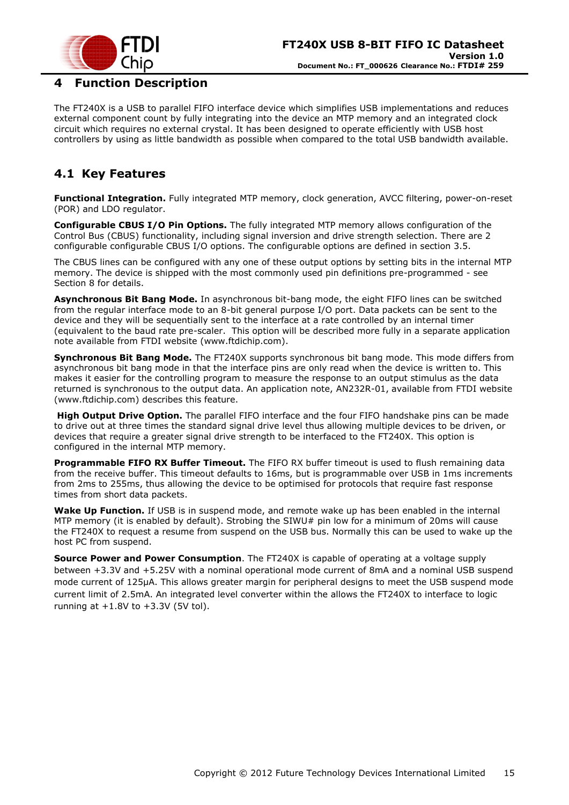

### <span id="page-14-0"></span>**4 Function Description**

The FT240X is a USB to parallel FIFO interface device which simplifies USB implementations and reduces external component count by fully integrating into the device an MTP memory and an integrated clock circuit which requires no external crystal. It has been designed to operate efficiently with USB host controllers by using as little bandwidth as possible when compared to the total USB bandwidth available.

### <span id="page-14-1"></span>**4.1 Key Features**

**Functional Integration.** Fully integrated MTP memory, clock generation, AVCC filtering, power-on-reset (POR) and LDO regulator.

**Configurable CBUS I/O Pin Options.** The fully integrated MTP memory allows configuration of the Control Bus (CBUS) functionality, including signal inversion and drive strength selection. There are 2 configurable configurable CBUS I/O options. The configurable options are defined in section 3.5.

The CBUS lines can be configured with any one of these output options by setting bits in the internal MTP memory. The device is shipped with the most commonly used pin definitions pre-programmed - see Section [8](#page-28-0) for details.

**Asynchronous Bit Bang Mode.** In asynchronous bit-bang mode, the eight FIFO lines can be switched from the regular interface mode to an 8-bit general purpose I/O port. Data packets can be sent to the device and they will be sequentially sent to the interface at a rate controlled by an internal timer (equivalent to the baud rate pre-scaler. This option will be described more fully in a separate application note available from [FTDI website](http://www.ftdichip.com/) [\(www.ftdichip.com\)](http://www.ftdichip.com/).

**Synchronous Bit Bang Mode.** The FT240X supports synchronous bit bang mode. This mode differs from asynchronous bit bang mode in that the interface pins are only read when the device is written to. This makes it easier for the controlling program to measure the response to an output stimulus as the data returned is synchronous to the output data. An application note, [AN232R-01,](http://ftdichip.com/Documents/AppNotes/AN232R-01_FT232RBitBangModes.pdf) available from [FTDI website](http://www.ftdichip.com/) [\(www.ftdichip.com\)](http://www.ftdichip.com/) describes this feature.

**High Output Drive Option.** The parallel FIFO interface and the four FIFO handshake pins can be made to drive out at three times the standard signal drive level thus allowing multiple devices to be driven, or devices that require a greater signal drive strength to be interfaced to the FT240X. This option is configured in the internal MTP memory.

**Programmable FIFO RX Buffer Timeout.** The FIFO RX buffer timeout is used to flush remaining data from the receive buffer. This timeout defaults to 16ms, but is programmable over USB in 1ms increments from 2ms to 255ms, thus allowing the device to be optimised for protocols that require fast response times from short data packets.

**Wake Up Function.** If USB is in suspend mode, and remote wake up has been enabled in the internal MTP memory (it is enabled by default). Strobing the SIWU# pin low for a minimum of 20ms will cause the FT240X to request a resume from suspend on the USB bus. Normally this can be used to wake up the host PC from suspend.

**Source Power and Power Consumption**. The FT240X is capable of operating at a voltage supply between +3.3V and +5.25V with a nominal operational mode current of 8mA and a nominal USB suspend mode current of 125µA. This allows greater margin for peripheral designs to meet the USB suspend mode current limit of 2.5mA. An integrated level converter within the allows the FT240X to interface to logic running at  $+1.8V$  to  $+3.3V$  (5V tol).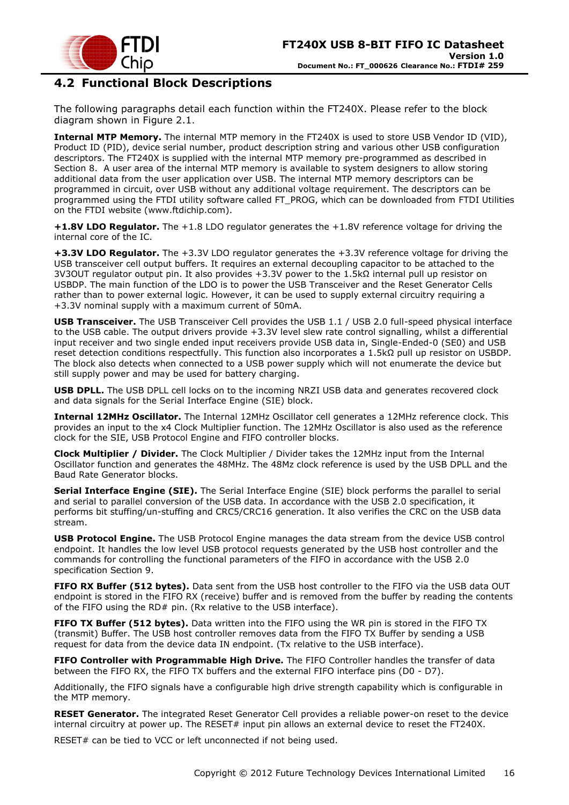

### <span id="page-15-0"></span>**4.2 Functional Block Descriptions**

The following paragraphs detail each function within the FT240X. Please refer to the block diagram shown in [Figure 2.1](#page-3-1).

**Internal MTP Memory.** The internal MTP memory in the FT240X is used to store USB Vendor ID (VID), Product ID (PID), device serial number, product description string and various other USB configuration descriptors. The FT240X is supplied with the internal MTP memory pre-programmed as described in Section [8.](#page-28-0) A user area of the internal MTP memory is available to system designers to allow storing additional data from the user application over USB. The internal MTP memory descriptors can be programmed in circuit, over USB without any additional voltage requirement. The descriptors can be programmed using the FTDI utility software called FT\_PROG, which can be downloaded from [FTDI Utilities](http://ftdichip.com/Resources/Utilities.htm) on the [FTDI website](http://www.ftdichip.com/) [\(www.ftdichip.com\)](http://www.ftdichip.com/).

**+1.8V LDO Regulator.** The +1.8 LDO regulator generates the +1.8V reference voltage for driving the internal core of the IC.

**+3.3V LDO Regulator.** The +3.3V LDO regulator generates the +3.3V reference voltage for driving the USB transceiver cell output buffers. It requires an external decoupling capacitor to be attached to the 3V3OUT regulator output pin. It also provides +3.3V power to the 1.5kΩ internal pull up resistor on USBDP. The main function of the LDO is to power the USB Transceiver and the Reset Generator Cells rather than to power external logic. However, it can be used to supply external circuitry requiring a +3.3V nominal supply with a maximum current of 50mA.

**USB Transceiver.** The USB Transceiver Cell provides the USB 1.1 / USB 2.0 full-speed physical interface to the USB cable. The output drivers provide +3.3V level slew rate control signalling, whilst a differential input receiver and two single ended input receivers provide USB data in, Single-Ended-0 (SE0) and USB reset detection conditions respectfully. This function also incorporates a 1.5kΩ pull up resistor on USBDP. The block also detects when connected to a USB power supply which will not enumerate the device but still supply power and may be used for battery charging.

**USB DPLL.** The USB DPLL cell locks on to the incoming NRZI USB data and generates recovered clock and data signals for the Serial Interface Engine (SIE) block.

**Internal 12MHz Oscillator.** The Internal 12MHz Oscillator cell generates a 12MHz reference clock. This provides an input to the x4 Clock Multiplier function. The 12MHz Oscillator is also used as the reference clock for the SIE, USB Protocol Engine and FIFO controller blocks.

**Clock Multiplier / Divider.** The Clock Multiplier / Divider takes the 12MHz input from the Internal Oscillator function and generates the 48MHz. The 48Mz clock reference is used by the USB DPLL and the Baud Rate Generator blocks.

**Serial Interface Engine (SIE).** The Serial Interface Engine (SIE) block performs the parallel to serial and serial to parallel conversion of the USB data. In accordance with the USB 2.0 specification, it performs bit stuffing/un-stuffing and CRC5/CRC16 generation. It also verifies the CRC on the USB data stream.

**USB Protocol Engine.** The USB Protocol Engine manages the data stream from the device USB control endpoint. It handles the low level USB protocol requests generated by the USB host controller and the commands for controlling the functional parameters of the FIFO in accordance with the USB 2.0 specification Section [9.](#page-32-0)

**FIFO RX Buffer (512 bytes).** Data sent from the USB host controller to the FIFO via the USB data OUT endpoint is stored in the FIFO RX (receive) buffer and is removed from the buffer by reading the contents of the FIFO using the RD# pin. (Rx relative to the USB interface).

**FIFO TX Buffer (512 bytes).** Data written into the FIFO using the WR pin is stored in the FIFO TX (transmit) Buffer. The USB host controller removes data from the FIFO TX Buffer by sending a USB request for data from the device data IN endpoint. (Tx relative to the USB interface).

**FIFO Controller with Programmable High Drive.** The FIFO Controller handles the transfer of data between the FIFO RX, the FIFO TX buffers and the external FIFO interface pins (D0 - D7).

Additionally, the FIFO signals have a configurable high drive strength capability which is configurable in the MTP memory.

**RESET Generator.** The integrated Reset Generator Cell provides a reliable power-on reset to the device internal circuitry at power up. The RESET# input pin allows an external device to reset the FT240X.

RESET# can be tied to VCC or left unconnected if not being used.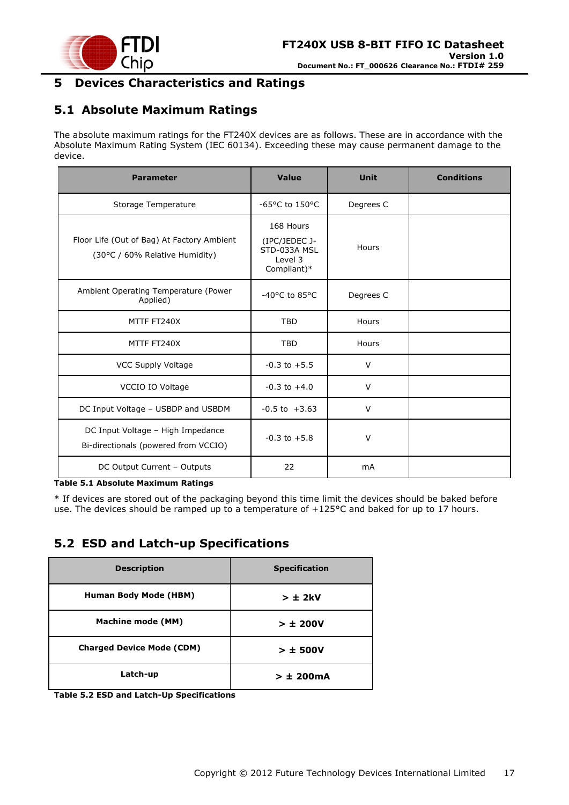

### <span id="page-16-0"></span>**5 Devices Characteristics and Ratings**

### <span id="page-16-1"></span>**5.1 Absolute Maximum Ratings**

The absolute maximum ratings for the FT240X devices are as follows. These are in accordance with the Absolute Maximum Rating System (IEC 60134). Exceeding these may cause permanent damage to the device.

| <b>Parameter</b>                                                             | Value                                                                | <b>Unit</b> | <b>Conditions</b> |
|------------------------------------------------------------------------------|----------------------------------------------------------------------|-------------|-------------------|
| Storage Temperature                                                          | $-65$ °C to 150°C                                                    | Degrees C   |                   |
| Floor Life (Out of Bag) At Factory Ambient<br>(30°C / 60% Relative Humidity) | 168 Hours<br>(IPC/JEDEC J-<br>STD-033A MSL<br>Level 3<br>Compliant)* | Hours       |                   |
| Ambient Operating Temperature (Power<br>Applied)                             | -40°C to 85°C                                                        | Degrees C   |                   |
| MTTF FT240X                                                                  | <b>TBD</b>                                                           | Hours       |                   |
| MTTF FT240X                                                                  | <b>TBD</b>                                                           | Hours       |                   |
| <b>VCC Supply Voltage</b>                                                    | $-0.3$ to $+5.5$                                                     | V           |                   |
| VCCIO IO Voltage                                                             | $-0.3$ to $+4.0$                                                     | $\vee$      |                   |
| DC Input Voltage - USBDP and USBDM                                           | $-0.5$ to $+3.63$                                                    | $\vee$      |                   |
| DC Input Voltage - High Impedance<br>Bi-directionals (powered from VCCIO)    | $-0.3$ to $+5.8$                                                     | $\vee$      |                   |
| DC Output Current - Outputs                                                  | 22                                                                   | <b>mA</b>   |                   |

#### <span id="page-16-3"></span>**Table 5.1 Absolute Maximum Ratings**

\* If devices are stored out of the packaging beyond this time limit the devices should be baked before use. The devices should be ramped up to a temperature of +125°C and baked for up to 17 hours.

### <span id="page-16-2"></span>**5.2 ESD and Latch-up Specifications**

| <b>Description</b>               | <b>Specification</b> |
|----------------------------------|----------------------|
| <b>Human Body Mode (HBM)</b>     | $> \pm 2kV$          |
| <b>Machine mode (MM)</b>         | > 1200V              |
| <b>Charged Device Mode (CDM)</b> | $> \pm$ 500V         |
| Latch-up                         | $> \pm 200$ mA       |

<span id="page-16-4"></span>**Table 5.2 ESD and Latch-Up Specifications**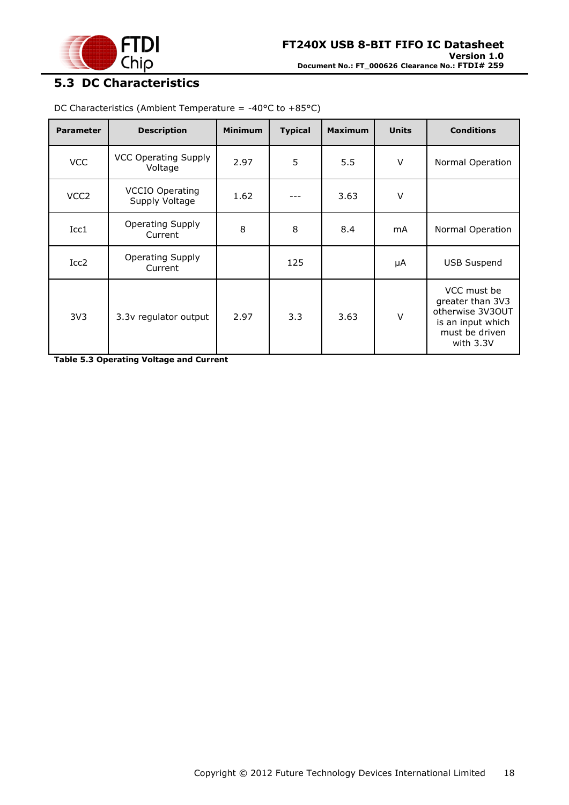

# <span id="page-17-0"></span>**5.3 DC Characteristics**

| <b>Parameter</b> | <b>Description</b>                       | <b>Minimum</b> | <b>Typical</b> | <b>Maximum</b> | <b>Units</b>   | <b>Conditions</b>                                                                                       |
|------------------|------------------------------------------|----------------|----------------|----------------|----------------|---------------------------------------------------------------------------------------------------------|
| <b>VCC</b>       | <b>VCC Operating Supply</b><br>Voltage   | 2.97           | 5              | 5.5            | $\vee$         | Normal Operation                                                                                        |
| VCC <sub>2</sub> | <b>VCCIO Operating</b><br>Supply Voltage | 1.62           |                | 3.63           | $\vee$         |                                                                                                         |
| Icc1             | <b>Operating Supply</b><br>Current       | 8              | 8              | 8.4            | m <sub>A</sub> | Normal Operation                                                                                        |
| Icc <sub>2</sub> | Operating Supply<br>Current              |                | 125            |                | μA             | <b>USB Suspend</b>                                                                                      |
| 3V <sub>3</sub>  | 3.3v regulator output                    | 2.97           | 3.3            | 3.63           | $\vee$         | VCC must be<br>greater than 3V3<br>otherwise 3V3OUT<br>is an input which<br>must be driven<br>with 3.3V |

DC Characteristics (Ambient Temperature = -40°C to +85°C)

<span id="page-17-1"></span>**Table 5.3 Operating Voltage and Current**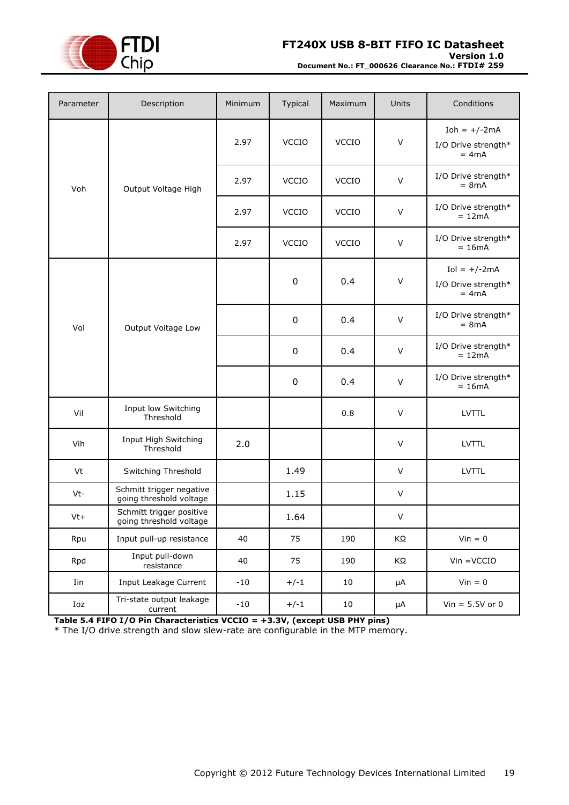

**Version 1.0**

**Document No.: FT\_000626 Clearance No.: FTDI# 259**

| Parameter | Description                                         | Minimum | Typical      | Maximum      | Units  | Conditions                                        |
|-----------|-----------------------------------------------------|---------|--------------|--------------|--------|---------------------------------------------------|
|           |                                                     | 2.97    | <b>VCCIO</b> | <b>VCCIO</b> | $\vee$ | Ioh = $+/-2$ mA<br>I/O Drive strength*<br>$= 4mA$ |
| Voh       | Output Voltage High                                 | 2.97    | <b>VCCIO</b> | <b>VCCIO</b> | $\vee$ | I/O Drive strength*<br>$= 8mA$                    |
|           |                                                     | 2.97    | <b>VCCIO</b> | <b>VCCIO</b> | $\vee$ | I/O Drive strength*<br>$= 12mA$                   |
|           |                                                     | 2.97    | <b>VCCIO</b> | <b>VCCIO</b> | $\vee$ | I/O Drive strength*<br>$= 16mA$                   |
|           |                                                     |         | $\mathbf 0$  | 0.4          | $\vee$ | $Iol = +/-2mA$<br>I/O Drive strength*<br>$= 4mA$  |
| Vol       | Output Voltage Low                                  |         | 0            | 0.4          | $\vee$ | I/O Drive strength*<br>$= 8mA$                    |
|           |                                                     |         | 0            | 0.4          | $\vee$ | I/O Drive strength*<br>$= 12mA$                   |
|           |                                                     |         | 0            | 0.4          | $\vee$ | I/O Drive strength*<br>$= 16mA$                   |
| Vil       | Input low Switching<br>Threshold                    |         |              | 0.8          | $\vee$ | <b>LVTTL</b>                                      |
| Vih       | Input High Switching<br>Threshold                   | 2.0     |              |              | V      | <b>LVTTL</b>                                      |
| Vt        | Switching Threshold                                 |         | 1.49         |              | $\vee$ | <b>LVTTL</b>                                      |
| Vt-       | Schmitt trigger negative<br>going threshold voltage |         | 1.15         |              | V      |                                                   |
| $Vt+$     | Schmitt trigger positive<br>going threshold voltage |         | 1.64         |              | V      |                                                   |
| Rpu       | Input pull-up resistance                            | 40      | 75           | 190          | KΩ     | $V$ in = 0                                        |
| Rpd       | Input pull-down<br>resistance                       | 40      | 75           | 190          | KΩ     | $Vin = VCCIO$                                     |
| Iin       | Input Leakage Current                               | $-10$   | $+/-1$       | 10           | μA     | $Vin = 0$                                         |
| Ioz       | Tri-state output leakage<br>current                 | $-10$   | $+/-1$       | 10           | μA     | Vin = $5.5V$ or 0                                 |

<span id="page-18-0"></span>**Table 5.4 FIFO I/O Pin Characteristics VCCIO = +3.3V, (except USB PHY pins)**

\* The I/O drive strength and slow slew-rate are configurable in the MTP memory.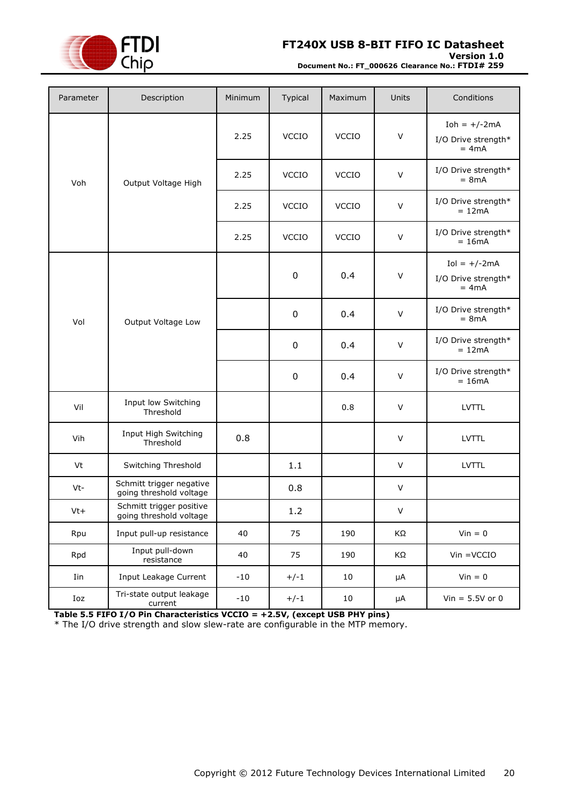

#### **Version 1.0**

**Document No.: FT\_000626 Clearance No.: FTDI# 259**

| Parameter | Description                                         | Minimum | Typical      | Maximum      | Units   | Conditions                                       |
|-----------|-----------------------------------------------------|---------|--------------|--------------|---------|--------------------------------------------------|
|           |                                                     | 2.25    | <b>VCCIO</b> | <b>VCCIO</b> | $\vee$  | Ioh = $+/-2mA$<br>I/O Drive strength*<br>$= 4mA$ |
| Voh       | Output Voltage High                                 | 2.25    | <b>VCCIO</b> | <b>VCCIO</b> | $\vee$  | I/O Drive strength*<br>$= 8mA$                   |
|           |                                                     | 2.25    | <b>VCCIO</b> | <b>VCCIO</b> | $\vee$  | I/O Drive strength*<br>$= 12mA$                  |
|           |                                                     | 2.25    | <b>VCCIO</b> | <b>VCCIO</b> | $\vee$  | I/O Drive strength*<br>$= 16mA$                  |
|           |                                                     |         | $\pmb{0}$    | 0.4          | $\vee$  | $Iol = +/-2mA$<br>I/O Drive strength*<br>$= 4mA$ |
| Vol       | Output Voltage Low                                  |         | $\pmb{0}$    | 0.4          | $\vee$  | I/O Drive strength*<br>$= 8mA$                   |
|           |                                                     |         | $\pmb{0}$    | 0.4          | $\vee$  | I/O Drive strength*<br>$= 12mA$                  |
|           |                                                     |         | 0            | 0.4          | $\vee$  | I/O Drive strength*<br>$= 16mA$                  |
| Vil       | Input low Switching<br>Threshold                    |         |              | 0.8          | $\vee$  | LVTTL                                            |
| Vih       | Input High Switching<br>Threshold                   | 0.8     |              |              | $\vee$  | <b>LVTTL</b>                                     |
| Vt        | Switching Threshold                                 |         | 1.1          |              | $\vee$  | <b>LVTTL</b>                                     |
| Vt-       | Schmitt trigger negative<br>going threshold voltage |         | 0.8          |              | $\vee$  |                                                  |
| $Vt+$     | Schmitt trigger positive<br>going threshold voltage |         | $1.2\,$      |              | V       |                                                  |
| Rpu       | Input pull-up resistance                            | 40      | 75           | 190          | ΚΩ      | $Vin = 0$                                        |
| Rpd       | Input pull-down<br>resistance                       | 40      | 75           | 190          | ΚΩ      | $V$ in = $V$ CCIO                                |
| Iin       | Input Leakage Current                               | $-10$   | $+/-1$       | 10           | $\mu A$ | $Vin = 0$                                        |
| Ioz       | Tri-state output leakage<br>current                 | $-10$   | $+/-1$       | 10           | μA      | Vin = $5.5V$ or 0                                |

<span id="page-19-0"></span>**Table 5.5 FIFO I/O Pin Characteristics VCCIO = +2.5V, (except USB PHY pins)**

\* The I/O drive strength and slow slew-rate are configurable in the MTP memory.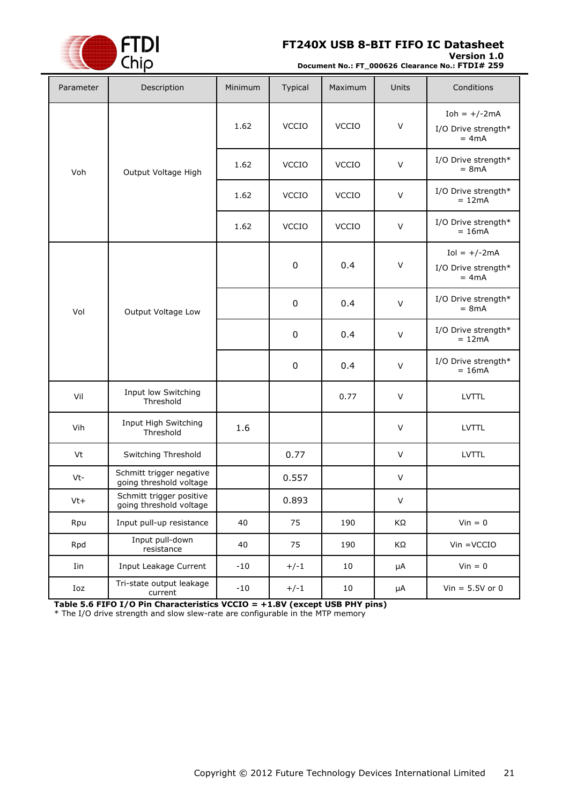

#### **Version 1.0**

**Document No.: FT\_000626 Clearance No.: FTDI# 259**

| Parameter | Description                                         | Minimum | Typical      | Maximum      | <b>Units</b> | Conditions                                        |
|-----------|-----------------------------------------------------|---------|--------------|--------------|--------------|---------------------------------------------------|
|           |                                                     | 1.62    | VCCIO        | <b>VCCIO</b> | $\vee$       | Ioh = $+/-2$ mA<br>I/O Drive strength*<br>$= 4mA$ |
| Voh       | Output Voltage High                                 | 1.62    | <b>VCCIO</b> | <b>VCCIO</b> | $\sf V$      | I/O Drive strength*<br>$= 8mA$                    |
|           |                                                     | 1.62    | <b>VCCIO</b> | <b>VCCIO</b> | $\vee$       | I/O Drive strength*<br>$= 12mA$                   |
|           |                                                     | 1.62    | <b>VCCIO</b> | <b>VCCIO</b> | $\vee$       | I/O Drive strength*<br>$= 16mA$                   |
|           |                                                     |         | $\pmb{0}$    | 0.4          | $\vee$       | $Iol = +/-2mA$<br>I/O Drive strength*<br>$= 4mA$  |
| Vol       | Output Voltage Low                                  |         | $\pmb{0}$    | 0.4          | $\vee$       | I/O Drive strength*<br>$= 8mA$                    |
|           |                                                     |         | $\pmb{0}$    | 0.4          | $\vee$       | I/O Drive strength*<br>$= 12mA$                   |
|           |                                                     |         | $\pmb{0}$    | 0.4          | $\vee$       | I/O Drive strength*<br>$= 16mA$                   |
| Vil       | Input low Switching<br>Threshold                    |         |              | 0.77         | $\vee$       | <b>LVTTL</b>                                      |
| Vih       | Input High Switching<br>Threshold                   | 1.6     |              |              | $\vee$       | <b>LVTTL</b>                                      |
| Vt        | Switching Threshold                                 |         | 0.77         |              | V            | <b>LVTTL</b>                                      |
| Vt-       | Schmitt trigger negative<br>going threshold voltage |         | 0.557        |              | V            |                                                   |
| Vt+       | Schmitt trigger positive<br>going threshold voltage |         | 0.893        |              | V            |                                                   |
| Rpu       | Input pull-up resistance                            | 40      | 75           | 190          | KΩ           | $Vin = 0$                                         |
| Rpd       | Input pull-down<br>resistance                       | 40      | 75           | 190          | ΚΩ           | $V$ in = $V$ CCIO                                 |
| Iin       | Input Leakage Current                               | $-10$   | $+/-1$       | 10           | μA           | $Vin = 0$                                         |
| Ioz       | Tri-state output leakage<br>current                 | $-10$   | $+/-1$       | 10           | μA           | $Vin = 5.5V$ or 0                                 |

<span id="page-20-0"></span>**Table 5.6 FIFO I/O Pin Characteristics VCCIO = +1.8V (except USB PHY pins)**

\* The I/O drive strength and slow slew-rate are configurable in the MTP memory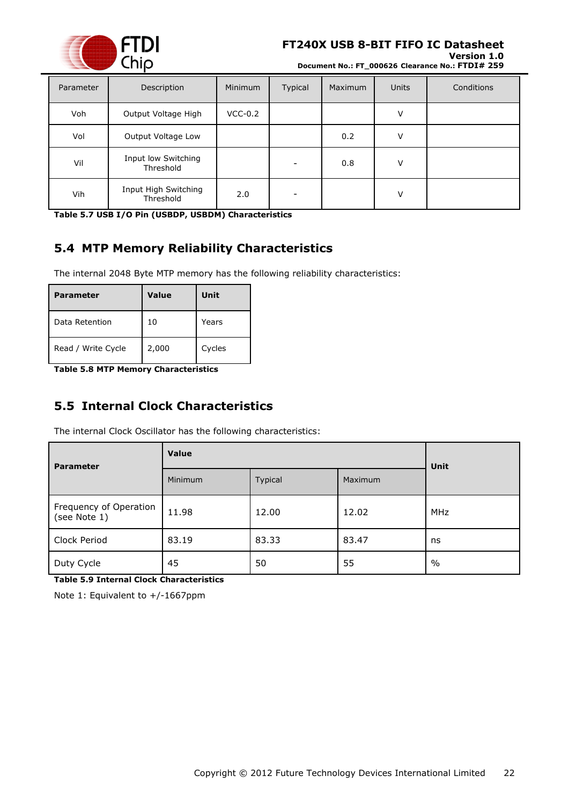

**Version 1.0 Document No.: FT\_000626 Clearance No.: FTDI# 259**

| Parameter | Description                       | Minimum   | Typical | Maximum | <b>Units</b> | Conditions |
|-----------|-----------------------------------|-----------|---------|---------|--------------|------------|
| Voh       | Output Voltage High               | $VCC-0.2$ |         |         | v            |            |
| Vol       | Output Voltage Low                |           |         | 0.2     | $\vee$       |            |
| Vil       | Input low Switching<br>Threshold  |           |         | 0.8     | V            |            |
| Vih       | Input High Switching<br>Threshold | 2.0       | -       |         | $\vee$       |            |

<span id="page-21-2"></span>**Table 5.7 USB I/O Pin (USBDP, USBDM) Characteristics**

### <span id="page-21-0"></span>**5.4 MTP Memory Reliability Characteristics**

The internal 2048 Byte MTP memory has the following reliability characteristics:

| <b>Parameter</b>   | Value | Unit   |
|--------------------|-------|--------|
| Data Retention     | 10    | Years  |
| Read / Write Cycle | 2,000 | Cycles |

<span id="page-21-3"></span>**Table 5.8 MTP Memory Characteristics**

### <span id="page-21-1"></span>**5.5 Internal Clock Characteristics**

The internal Clock Oscillator has the following characteristics:

| <b>Parameter</b>                       | Value          | Unit    |         |            |
|----------------------------------------|----------------|---------|---------|------------|
|                                        | <b>Minimum</b> | Typical | Maximum |            |
| Frequency of Operation<br>(see Note 1) | 11.98          | 12.00   | 12.02   | <b>MHz</b> |
| Clock Period                           | 83.19          | 83.33   | 83.47   | ns         |
| Duty Cycle                             | 45             | 50      | 55      | $\%$       |

<span id="page-21-4"></span>**Table 5.9 Internal Clock Characteristics**

Note 1: Equivalent to +/-1667ppm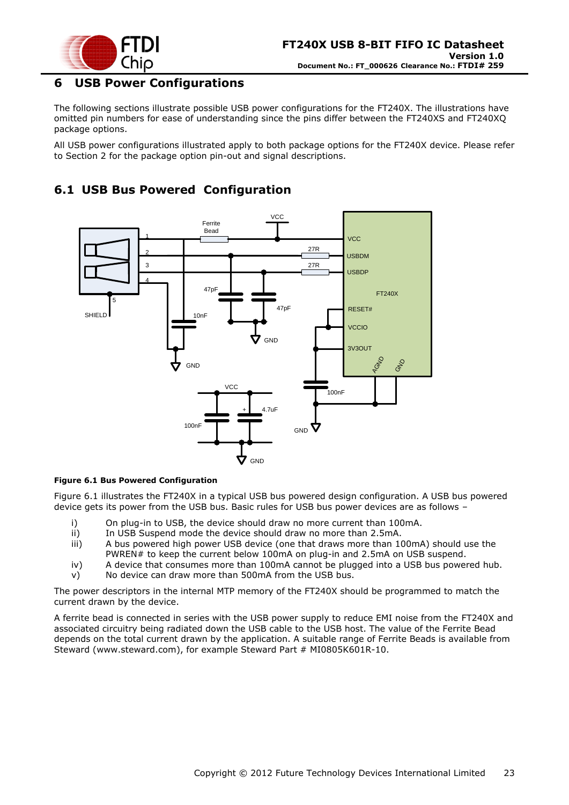

### <span id="page-22-0"></span>**6 USB Power Configurations**

The following sections illustrate possible USB power configurations for the FT240X. The illustrations have omitted pin numbers for ease of understanding since the pins differ between the FT240XS and FT240XQ package options.

All USB power configurations illustrated apply to both package options for the FT240X device. Please refer to Section [2](#page-7-0) for the package option pin-out and signal descriptions.

### <span id="page-22-1"></span>**6.1 USB Bus Powered Configuration**



#### <span id="page-22-2"></span>**Figure 6.1 Bus Powered Configuration**

[Figure 6.1](#page-22-2) illustrates the FT240X in a typical USB bus powered design configuration. A USB bus powered device gets its power from the USB bus. Basic rules for USB bus power devices are as follows –

- i) On plug-in to USB, the device should draw no more current than 100mA.
- ii) In USB Suspend mode the device should draw no more than 2.5mA.
- iii) A bus powered high power USB device (one that draws more than 100mA) should use the PWREN# to keep the current below 100mA on plug-in and 2.5mA on USB suspend.
- iv) A device that consumes more than 100mA cannot be plugged into a USB bus powered hub.
- v) No device can draw more than 500mA from the USB bus.

The power descriptors in the internal MTP memory of the FT240X should be programmed to match the current drawn by the device.

A ferrite bead is connected in series with the USB power supply to reduce EMI noise from the FT240X and associated circuitry being radiated down the USB cable to the USB host. The value of the Ferrite Bead depends on the total current drawn by the application. A suitable range of Ferrite Beads is available from Steward [\(www.steward.com\)](file://glaspssv1/General/Engineering/Engineering%20_Documents/DS_FT245R/DS_FT245R_200/www.steward.com), for example Steward Part # MI0805K601R-10.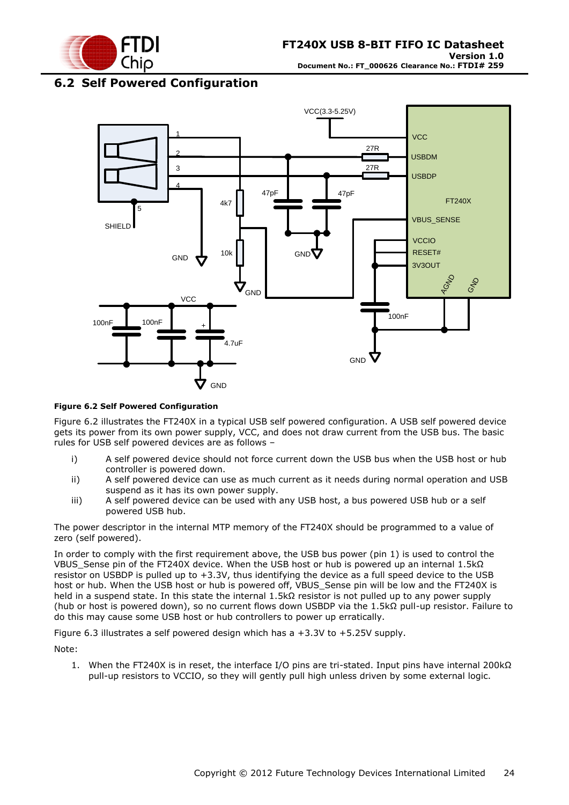

### <span id="page-23-0"></span>**6.2 Self Powered Configuration**



#### <span id="page-23-1"></span>**Figure 6.2 Self Powered Configuration**

[Figure 6.2](#page-23-1) illustrates the FT240X in a typical USB self powered configuration. A USB self powered device gets its power from its own power supply, VCC, and does not draw current from the USB bus. The basic rules for USB self powered devices are as follows –

- i) A self powered device should not force current down the USB bus when the USB host or hub controller is powered down.
- ii) A self powered device can use as much current as it needs during normal operation and USB suspend as it has its own power supply.
- iii) A self powered device can be used with any USB host, a bus powered USB hub or a self powered USB hub.

The power descriptor in the internal MTP memory of the FT240X should be programmed to a value of zero (self powered).

In order to comply with the first requirement above, the USB bus power (pin 1) is used to control the VBUS\_Sense pin of the FT240X device. When the USB host or hub is powered up an internal 1.5kΩ resistor on USBDP is pulled up to +3.3V, thus identifying the device as a full speed device to the USB host or hub. When the USB host or hub is powered off, VBUS Sense pin will be low and the FT240X is held in a suspend state. In this state the internal 1.5kΩ resistor is not pulled up to any power supply (hub or host is powered down), so no current flows down USBDP via the 1.5kΩ pull-up resistor. Failure to do this may cause some USB host or hub controllers to power up erratically.

<span id="page-23-2"></span>Figure 6.3 illustrates a self powered design which has a +3.3V to +5.25V supply.

Note:

1. When the FT240X is in reset, the interface I/O pins are tri-stated. Input pins have internal 200kΩ pull-up resistors to VCCIO, so they will gently pull high unless driven by some external logic.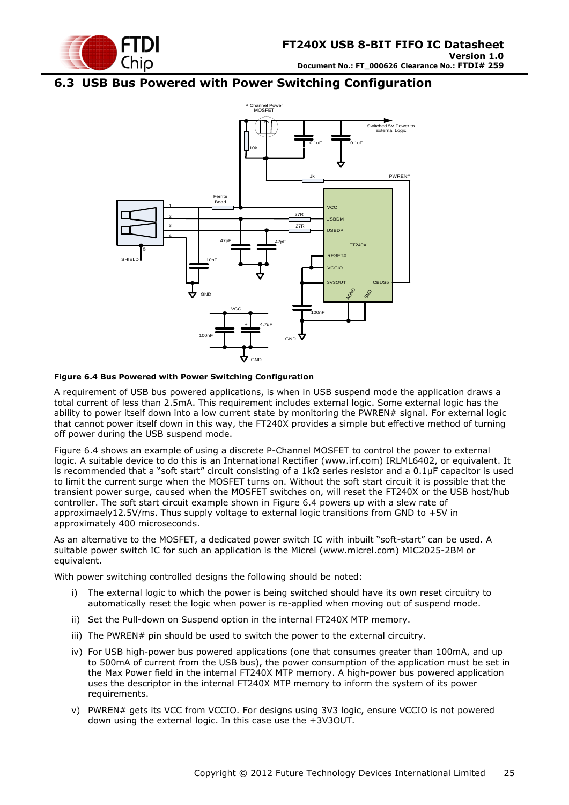

### <span id="page-24-0"></span>**6.3 USB Bus Powered with Power Switching Configuration**



#### <span id="page-24-1"></span>**Figure 6.4 Bus Powered with Power Switching Configuration**

A requirement of USB bus powered applications, is when in USB suspend mode the application draws a total current of less than 2.5mA. This requirement includes external logic. Some external logic has the ability to power itself down into a low current state by monitoring the PWREN# signal. For external logic that cannot power itself down in this way, the FT240X provides a simple but effective method of turning off power during the USB suspend mode.

[Figure 6.4](#page-24-1) shows an example of using a discrete P-Channel MOSFET to control the power to external logic. A suitable device to do this is an International Rectifier (www.irf.com) IRLML6402, or equivalent. It is recommended that a "soft start" circuit consisting of a 1kΩ series resistor and a 0.1μF capacitor is used to limit the current surge when the MOSFET turns on. Without the soft start circuit it is possible that the transient power surge, caused when the MOSFET switches on, will reset the FT240X or the USB host/hub controller. The soft start circuit example shown in [Figure 6.4](#page-24-1) powers up with a slew rate of approximaely12.5V/ms. Thus supply voltage to external logic transitions from GND to +5V in approximately 400 microseconds.

As an alternative to the MOSFET, a dedicated power switch IC with inbuilt "soft-start" can be used. A suitable power switch IC for such an application is the Micrel [\(www.micrel.com\)](file://glaspssv1/General/Engineering/Engineering%20_Documents/DS_FT245R/DS_FT245R_200/www.micrel.com) MIC2025-2BM or equivalent.

With power switching controlled designs the following should be noted:

- i) The external logic to which the power is being switched should have its own reset circuitry to automatically reset the logic when power is re-applied when moving out of suspend mode.
- ii) Set the Pull-down on Suspend option in the internal FT240X MTP memory.
- iii) The PWREN# pin should be used to switch the power to the external circuitry.
- iv) For USB high-power bus powered applications (one that consumes greater than 100mA, and up to 500mA of current from the USB bus), the power consumption of the application must be set in the Max Power field in the internal FT240X MTP memory. A high-power bus powered application uses the descriptor in the internal FT240X MTP memory to inform the system of its power requirements.
- v) PWREN# gets its VCC from VCCIO. For designs using 3V3 logic, ensure VCCIO is not powered down using the external logic. In this case use the +3V3OUT.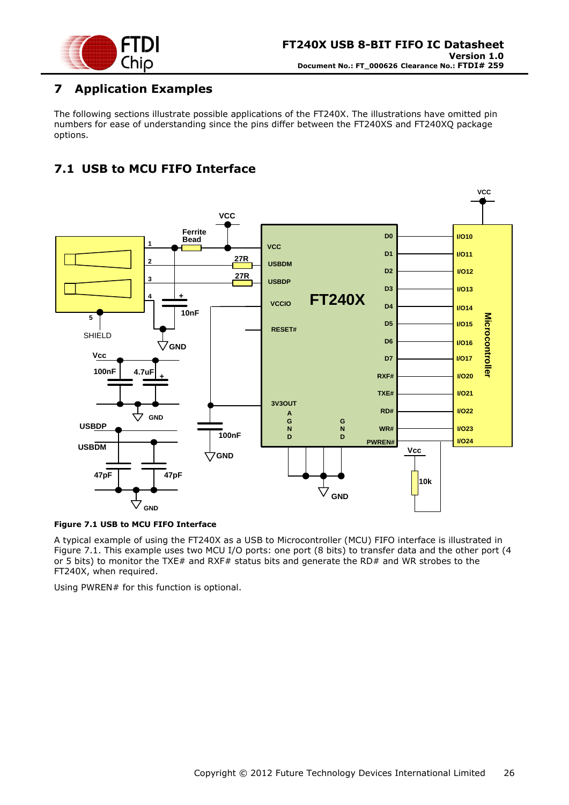

### <span id="page-25-0"></span>**7 Application Examples**

The following sections illustrate possible applications of the FT240X. The illustrations have omitted pin numbers for ease of understanding since the pins differ between the FT240XS and FT240XQ package options.

## <span id="page-25-1"></span>**7.1 USB to MCU FIFO Interface**



#### <span id="page-25-2"></span>**Figure 7.1 USB to MCU FIFO Interface**

A typical example of using the FT240X as a USB to Microcontroller (MCU) FIFO interface is illustrated in [Figure 7.1.](#page-25-2) This example uses two MCU I/O ports: one port (8 bits) to transfer data and the other port (4 or 5 bits) to monitor the TXE# and RXF# status bits and generate the RD# and WR strobes to the FT240X, when required.

Using PWREN# for this function is optional.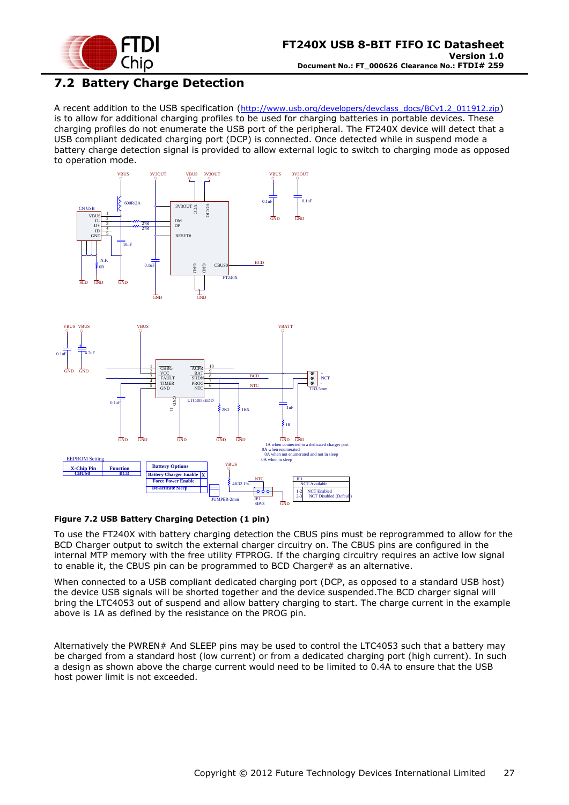

### <span id="page-26-0"></span>**7.2 Battery Charge Detection**

A recent addition to the USB specification ([http://www.usb.org/developers/devclass\\_docs/BCv1.2\\_011912.zip](http://www.usb.org/developers/devclass_docs/BCv1.2_011912.zip)) is to allow for additional charging profiles to be used for charging batteries in portable devices. These charging profiles do not enumerate the USB port of the peripheral. The FT240X device will detect that a USB compliant dedicated charging port (DCP) is connected. Once detected while in suspend mode a battery charge detection signal is provided to allow external logic to switch to charging mode as opposed to operation mode.





#### <span id="page-26-1"></span>**Figure 7.2 USB Battery Charging Detection (1 pin)**

To use the FT240X with battery charging detection the CBUS pins must be reprogrammed to allow for the BCD Charger output to switch the external charger circuitry on. The CBUS pins are configured in the internal MTP memory with the free utility FTPROG. If the charging circuitry requires an active low signal to enable it, the CBUS pin can be programmed to BCD Charger# as an alternative.

When connected to a USB compliant dedicated charging port (DCP, as opposed to a standard USB host) the device USB signals will be shorted together and the device suspended.The BCD charger signal will bring the LTC4053 out of suspend and allow battery charging to start. The charge current in the example above is 1A as defined by the resistance on the PROG pin.

Alternatively the PWREN# And SLEEP pins may be used to control the LTC4053 such that a battery may be charged from a standard host (low current) or from a dedicated charging port (high current). In such a design as shown above the charge current would need to be limited to 0.4A to ensure that the USB host power limit is not exceeded.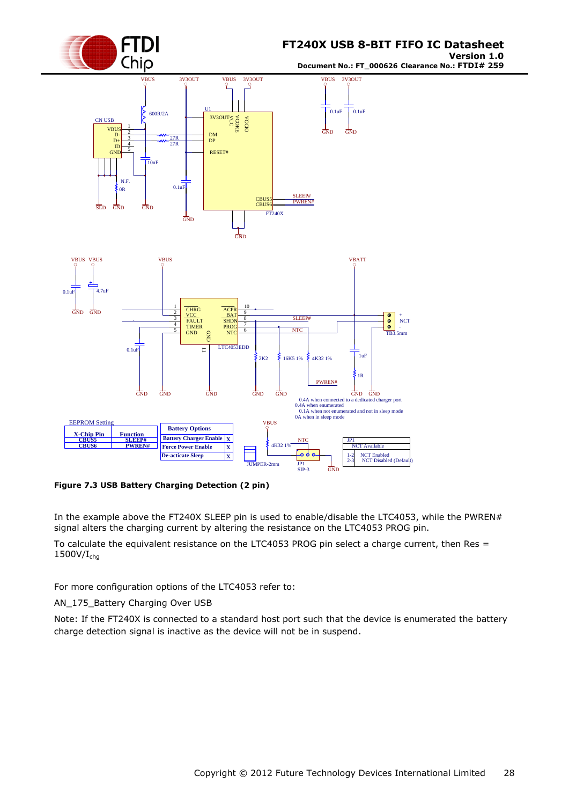

**Version 1.0 Document No.: FT\_000626 Clearance No.: FTDI# 259**



<span id="page-27-0"></span>**Figure 7.3 USB Battery Charging Detection (2 pin)**

In the example above the FT240X SLEEP pin is used to enable/disable the LTC4053, while the PWREN# signal alters the charging current by altering the resistance on the LTC4053 PROG pin.

To calculate the equivalent resistance on the LTC4053 PROG pin select a charge current, then Res =  $1500V/I<sub>cha</sub>$ 

For more configuration options of the LTC4053 refer to:

AN\_175\_Battery Charging Over USB

Note: If the FT240X is connected to a standard host port such that the device is enumerated the battery charge detection signal is inactive as the device will not be in suspend.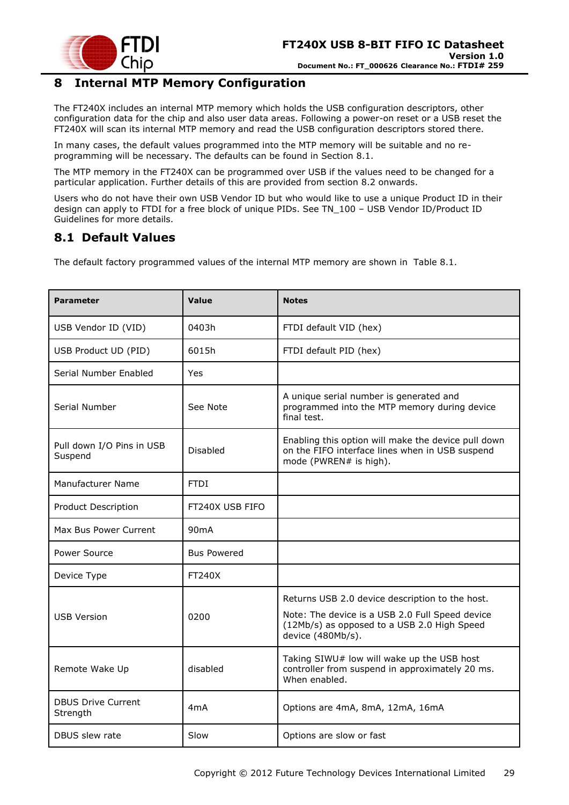

### <span id="page-28-0"></span>**8 Internal MTP Memory Configuration**

The FT240X includes an internal MTP memory which holds the USB configuration descriptors, other configuration data for the chip and also user data areas. Following a power-on reset or a USB reset the FT240X will scan its internal MTP memory and read the USB configuration descriptors stored there.

In many cases, the default values programmed into the MTP memory will be suitable and no reprogramming will be necessary. The defaults can be found in Section [8.1.](#page-28-1)

The MTP memory in the FT240X can be programmed over USB if the values need to be changed for a particular application. Further details of this are provided from section [8.2](#page-29-0) onwards.

Users who do not have their own USB Vendor ID but who would like to use a unique Product ID in their design can apply to FTDI for a free block of unique PIDs. See TN\_100 – USB Vendor ID/Product ID Guidelines for more details.

### <span id="page-28-1"></span>**8.1 Default Values**

The default factory programmed values of the internal MTP memory are shown in [Table 8.1.](#page-29-2)

| <b>Parameter</b>                      | Value              | <b>Notes</b>                                                                                                                                                           |
|---------------------------------------|--------------------|------------------------------------------------------------------------------------------------------------------------------------------------------------------------|
| USB Vendor ID (VID)                   | 0403h              | FTDI default VID (hex)                                                                                                                                                 |
| USB Product UD (PID)                  | 6015h              | FTDI default PID (hex)                                                                                                                                                 |
| Serial Number Enabled                 | Yes                |                                                                                                                                                                        |
| Serial Number                         | See Note           | A unique serial number is generated and<br>programmed into the MTP memory during device<br>final test.                                                                 |
| Pull down I/O Pins in USB<br>Suspend  | Disabled           | Enabling this option will make the device pull down<br>on the FIFO interface lines when in USB suspend<br>mode (PWREN# is high).                                       |
| Manufacturer Name                     | <b>FTDI</b>        |                                                                                                                                                                        |
| Product Description                   | FT240X USB FIFO    |                                                                                                                                                                        |
| Max Bus Power Current                 | 90 <sub>m</sub> A  |                                                                                                                                                                        |
| Power Source                          | <b>Bus Powered</b> |                                                                                                                                                                        |
| Device Type                           | <b>FT240X</b>      |                                                                                                                                                                        |
| <b>USB Version</b>                    | 0200               | Returns USB 2.0 device description to the host.<br>Note: The device is a USB 2.0 Full Speed device<br>(12Mb/s) as opposed to a USB 2.0 High Speed<br>device (480Mb/s). |
| Remote Wake Up                        | disabled           | Taking SIWU# low will wake up the USB host<br>controller from suspend in approximately 20 ms.<br>When enabled.                                                         |
| <b>DBUS Drive Current</b><br>Strength | 4 <sub>m</sub> A   | Options are 4mA, 8mA, 12mA, 16mA                                                                                                                                       |
| DBUS slew rate                        | Slow               | Options are slow or fast                                                                                                                                               |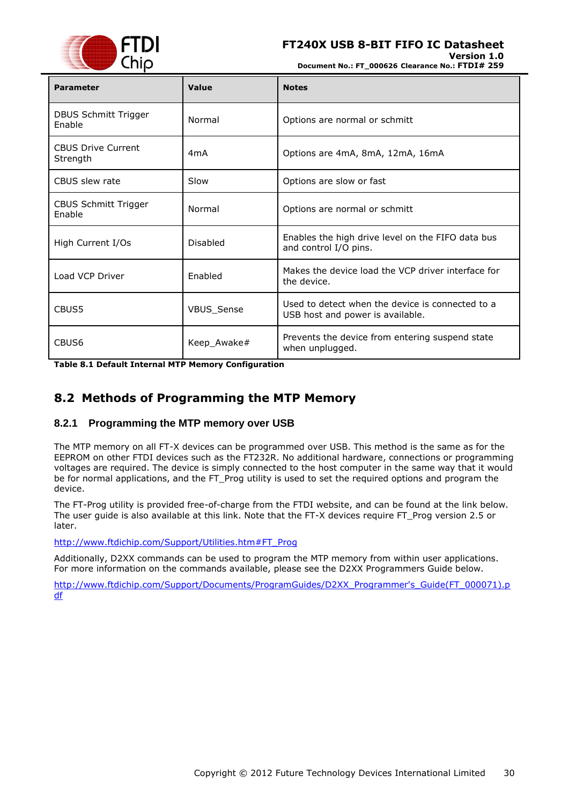

**Version 1.0**

**Document No.: FT\_000626 Clearance No.: FTDI# 259**

| <b>Parameter</b>                      | Value            | <b>Notes</b>                                                                         |
|---------------------------------------|------------------|--------------------------------------------------------------------------------------|
| <b>DBUS Schmitt Trigger</b><br>Enable | Normal           | Options are normal or schmitt                                                        |
| <b>CBUS Drive Current</b><br>Strength | 4 <sub>m</sub> A | Options are 4mA, 8mA, 12mA, 16mA                                                     |
| CBUS slew rate                        | Slow             | Options are slow or fast                                                             |
| <b>CBUS Schmitt Trigger</b><br>Enable | Normal           | Options are normal or schmitt                                                        |
| High Current I/Os                     | <b>Disabled</b>  | Enables the high drive level on the FIFO data bus<br>and control I/O pins.           |
| Load VCP Driver                       | <b>Fnabled</b>   | Makes the device load the VCP driver interface for<br>the device.                    |
| CBUS5                                 | VBUS_Sense       | Used to detect when the device is connected to a<br>USB host and power is available. |
| CBUS <sub>6</sub>                     | Keep Awake#      | Prevents the device from entering suspend state<br>when unplugged.                   |

<span id="page-29-2"></span>**Table 8.1 Default Internal MTP Memory Configuration**

### <span id="page-29-0"></span>**8.2 Methods of Programming the MTP Memory**

#### <span id="page-29-1"></span>**8.2.1 Programming the MTP memory over USB**

The MTP memory on all FT-X devices can be programmed over USB. This method is the same as for the EEPROM on other FTDI devices such as the FT232R. No additional hardware, connections or programming voltages are required. The device is simply connected to the host computer in the same way that it would be for normal applications, and the FT\_Prog utility is used to set the required options and program the device.

The FT-Prog utility is provided free-of-charge from the FTDI website, and can be found at the link below. The user guide is also available at this link. Note that the FT-X devices require FT\_Prog version 2.5 or later.

[http://www.ftdichip.com/Support/Utilities.htm#FT\\_Prog](http://www.ftdichip.com/Support/Utilities.htm#FT_Prog)

Additionally, D2XX commands can be used to program the MTP memory from within user applications. For more information on the commands available, please see the D2XX Programmers Guide below.

[http://www.ftdichip.com/Support/Documents/ProgramGuides/D2XX\\_Programmer's\\_Guide\(FT\\_000071\).p](http://www.ftdichip.com/Support/Documents/ProgramGuides/D2XX_Programmer) [df](http://www.ftdichip.com/Support/Documents/ProgramGuides/D2XX_Programmer)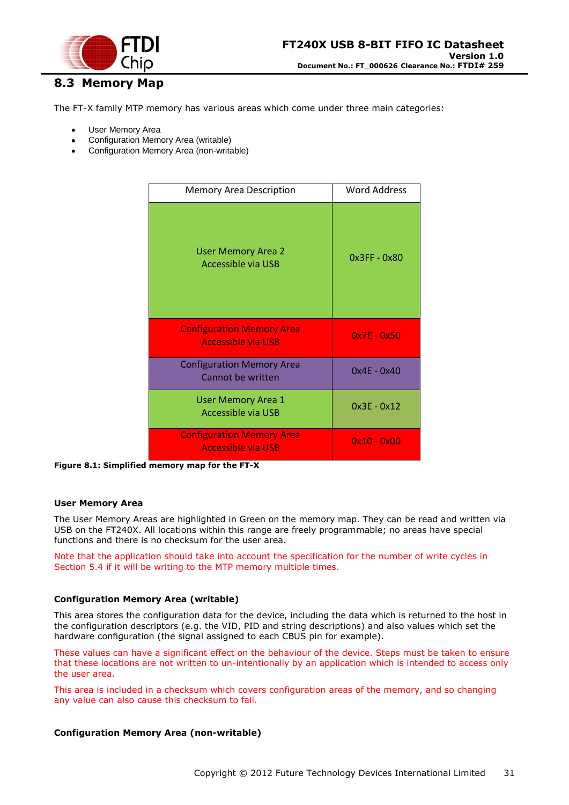

### <span id="page-30-0"></span>**8.3 Memory Map**

The FT-X family MTP memory has various areas which come under three main categories:

- User Memory Area
- Configuration Memory Area (writable)
- Configuration Memory Area (non-writable)

| <b>Memory Area Description</b>                                | <b>Word Address</b> |
|---------------------------------------------------------------|---------------------|
| <b>User Memory Area 2</b><br>Accessible via USB               | $0x3FF - 0x80$      |
| <b>Configuration Memory Area</b><br><b>Accessible via USB</b> | $0x7E - 0x50$       |
| <b>Configuration Memory Area</b><br>Cannot be written         | $0x4E - 0x40$       |
| <b>User Memory Area 1</b><br>Accessible via USB               | $0x3E - 0x12$       |
| <b>Configuration Memory Area</b><br><b>Accessible via USB</b> | $0x10 - 0x00$       |

<span id="page-30-1"></span>**Figure 8.1: Simplified memory map for the FT-X**

#### **User Memory Area**

The User Memory Areas are highlighted in Green on the memory map. They can be read and written via USB on the FT240X. All locations within this range are freely programmable; no areas have special functions and there is no checksum for the user area.

Note that the application should take into account the specification for the number of write cycles in Section [5.4](#page-21-0) if it will be writing to the MTP memory multiple times.

#### **Configuration Memory Area (writable)**

This area stores the configuration data for the device, including the data which is returned to the host in the configuration descriptors (e.g. the VID, PID and string descriptions) and also values which set the hardware configuration (the signal assigned to each CBUS pin for example).

These values can have a significant effect on the behaviour of the device. Steps must be taken to ensure that these locations are not written to un-intentionally by an application which is intended to access only the user area.

This area is included in a checksum which covers configuration areas of the memory, and so changing any value can also cause this checksum to fail.

#### **Configuration Memory Area (non-writable)**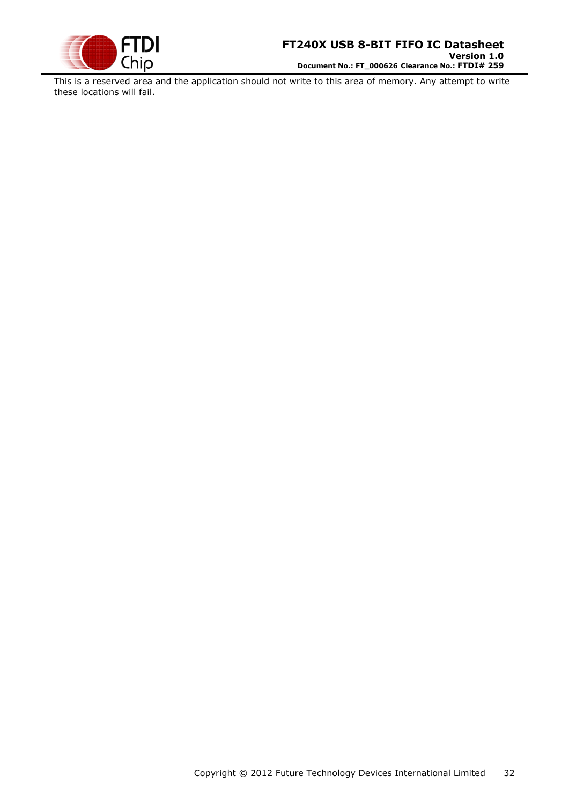

This is a reserved area and the application should not write to this area of memory. Any attempt to write these locations will fail.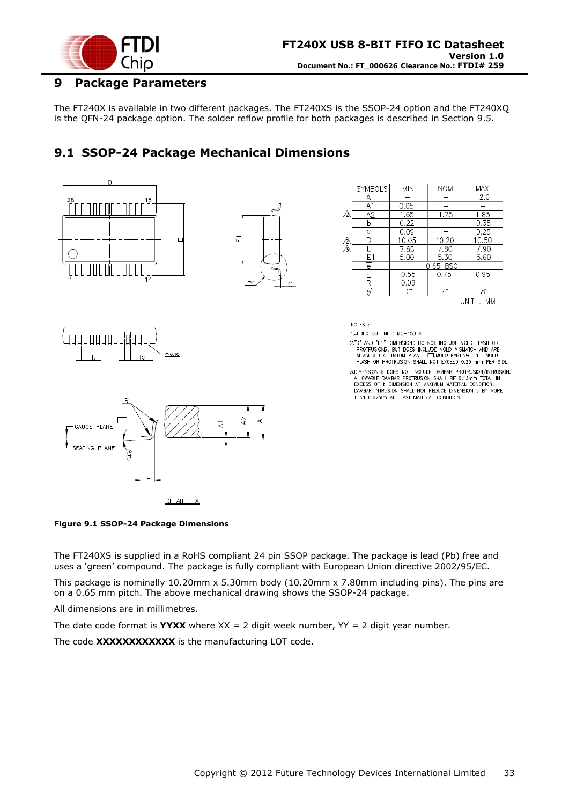

### <span id="page-32-0"></span>**9 Package Parameters**

The FT240X is available in two different packages. The FT240XS is the SSOP-24 option and the FT240XQ is the QFN-24 package option. The solder reflow profile for both packages is described in Section [9.5.](#page-36-0)

### <span id="page-32-1"></span>**9.1 SSOP-24 Package Mechanical Dimensions**



 $DETAL: A$ 

<span id="page-32-2"></span>

The FT240XS is supplied in a RoHS compliant 24 pin SSOP package. The package is lead (Pb) free and uses a "green" compound. The package is fully compliant with European Union directive 2002/95/EC.

This package is nominally 10.20mm x 5.30mm body (10.20mm x 7.80mm including pins). The pins are on a 0.65 mm pitch. The above mechanical drawing shows the SSOP-24 package.

All dimensions are in millimetres.

The date code format is **YYXX** where  $XX = 2$  digit week number,  $YY = 2$  digit year number.

The code **XXXXXXXXXXXX** is the manufacturing LOT code.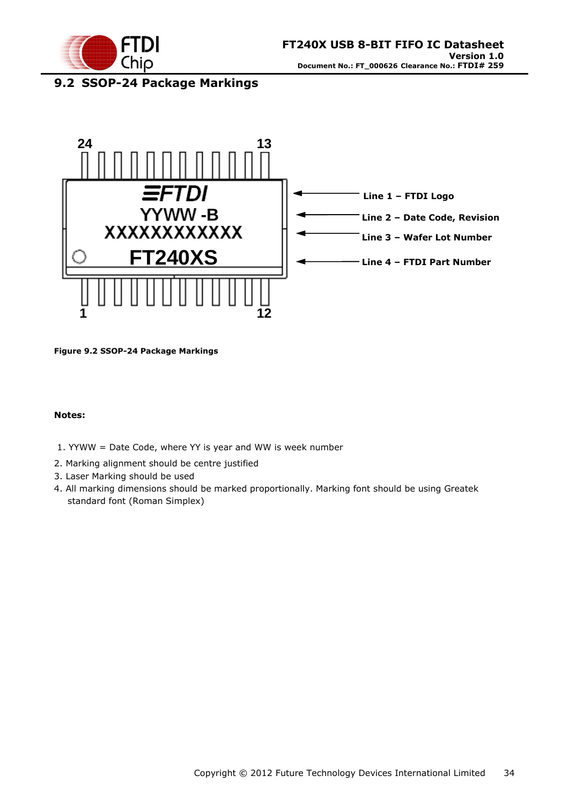

# <span id="page-33-0"></span>**9.2 SSOP-24 Package Markings**



<span id="page-33-1"></span>**Figure 9.2 SSOP-24 Package Markings**

#### **Notes:**

- 1. YYWW = Date Code, where YY is year and WW is week number
- 2. Marking alignment should be centre justified
- 3. Laser Marking should be used
- 4. All marking dimensions should be marked proportionally. Marking font should be using Greatek standard font (Roman Simplex)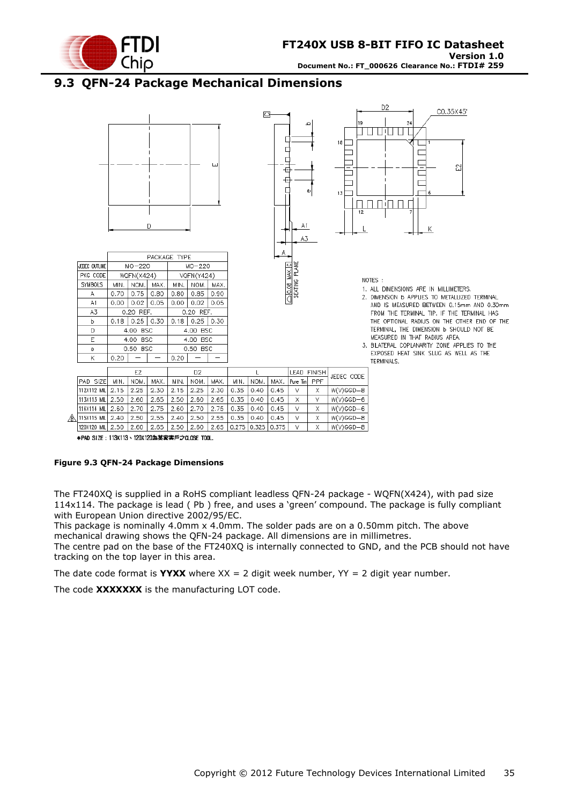

### <span id="page-34-0"></span>**9.3 QFN-24 Package Mechanical Dimensions**



120X120 MIL 2.50 2.60 2.65 2.50 2.60 2.65 0.275 0.325 0.375  $\overline{\mathsf{V}}$  $\overline{\mathsf{x}}$  $W(V)GGD - B$ \*PAD SIZE: 113X113、120X120為某家客戶之CLOSE TOOL.

#### <span id="page-34-1"></span>**Figure 9.3 QFN-24 Package Dimensions**

The FT240XQ is supplied in a RoHS compliant leadless QFN-24 package - WQFN(X424), with pad size 114x114. The package is lead ( Pb ) free, and uses a "green" compound. The package is fully compliant with European Union directive 2002/95/EC.

This package is nominally 4.0mm x 4.0mm. The solder pads are on a 0.50mm pitch. The above mechanical drawing shows the QFN-24 package. All dimensions are in millimetres.

The centre pad on the base of the FT240XQ is internally connected to GND, and the PCB should not have tracking on the top layer in this area.

The date code format is **YYXX** where  $XX = 2$  digit week number,  $YY = 2$  digit year number.

The code **XXXXXXX** is the manufacturing LOT code.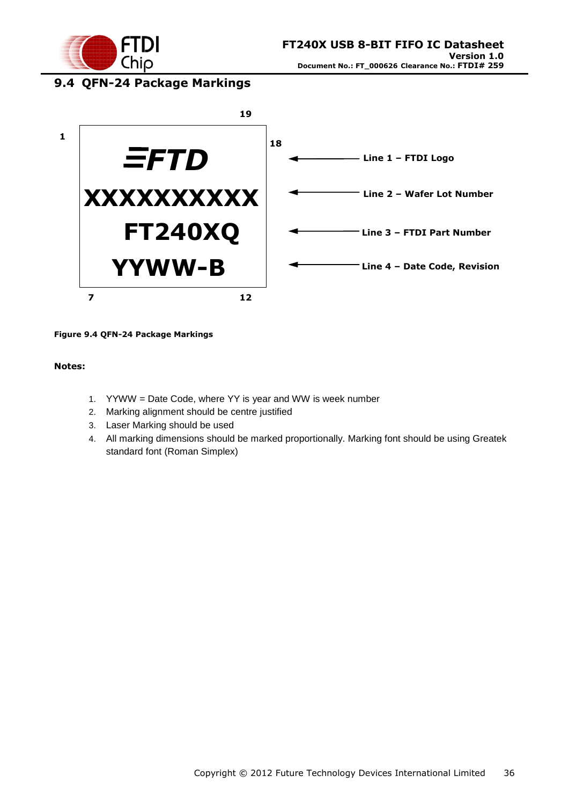

# <span id="page-35-0"></span>**9.4 QFN-24 Package Markings**



#### <span id="page-35-1"></span>**Figure 9.4 QFN-24 Package Markings**

#### **Notes:**

- 1. YYWW = Date Code, where YY is year and WW is week number
- 2. Marking alignment should be centre justified
- 3. Laser Marking should be used
- 4. All marking dimensions should be marked proportionally. Marking font should be using Greatek standard font (Roman Simplex)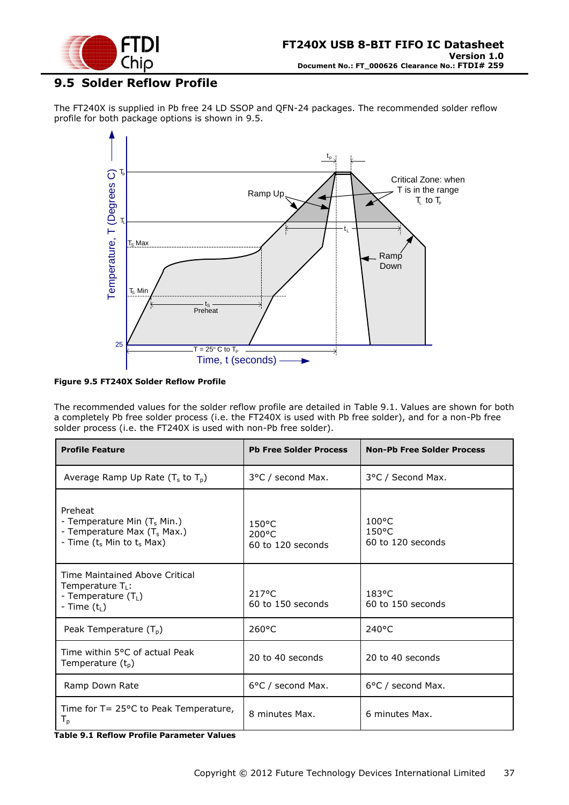

### <span id="page-36-0"></span>**9.5 Solder Reflow Profile**

The FT240X is supplied in Pb free 24 LD SSOP and QFN-24 packages. The recommended solder reflow profile for both package options is shown in [9.5.](#page-36-0)



#### <span id="page-36-2"></span>**Figure 9.5 FT240X Solder Reflow Profile**

The recommended values for the solder reflow profile are detailed in [Table 9.1.](#page-36-1) Values are shown for both a completely Pb free solder process (i.e. the FT240X is used with Pb free solder), and for a non-Pb free solder process (i.e. the FT240X is used with non-Pb free solder).

| <b>Profile Feature</b>                                                                                         | <b>Pb Free Solder Process</b>                 | <b>Non-Pb Free Solder Process</b>                       |
|----------------------------------------------------------------------------------------------------------------|-----------------------------------------------|---------------------------------------------------------|
| Average Ramp Up Rate $(T_s$ to $T_p$ )                                                                         | 3°C / second Max.                             | 3°C / Second Max.                                       |
| Preheat<br>- Temperature Min $(T_s$ Min.)<br>- Temperature Max $(T_s$ Max.)<br>- Time $(t_s$ Min to $t_s$ Max) | $150^{\circ}$ C<br>200°C<br>60 to 120 seconds | $100^{\circ}$ C<br>$150^{\circ}$ C<br>60 to 120 seconds |
| Time Maintained Above Critical<br>Temperature $T_L$ :<br>- Temperature (T <sub>L</sub> )<br>- Time $(t1)$      | 217°C<br>60 to 150 seconds                    | $183^{\circ}$ C<br>60 to 150 seconds                    |
| Peak Temperature $(T_p)$                                                                                       | 260°C                                         | $240^{\circ}$ C                                         |
| Time within 5°C of actual Peak<br>Temperature (t <sub>p</sub> )                                                | 20 to 40 seconds                              | 20 to 40 seconds                                        |
| Ramp Down Rate                                                                                                 | 6°C / second Max.                             | 6°C / second Max.                                       |
| Time for $T = 25^{\circ}$ C to Peak Temperature,<br>$T_{p}$<br>$\mathbf{v}$ . $\mathbf{v}$                     | 8 minutes Max.                                | 6 minutes Max.                                          |

<span id="page-36-1"></span>**Table 9.1 Reflow Profile Parameter Values**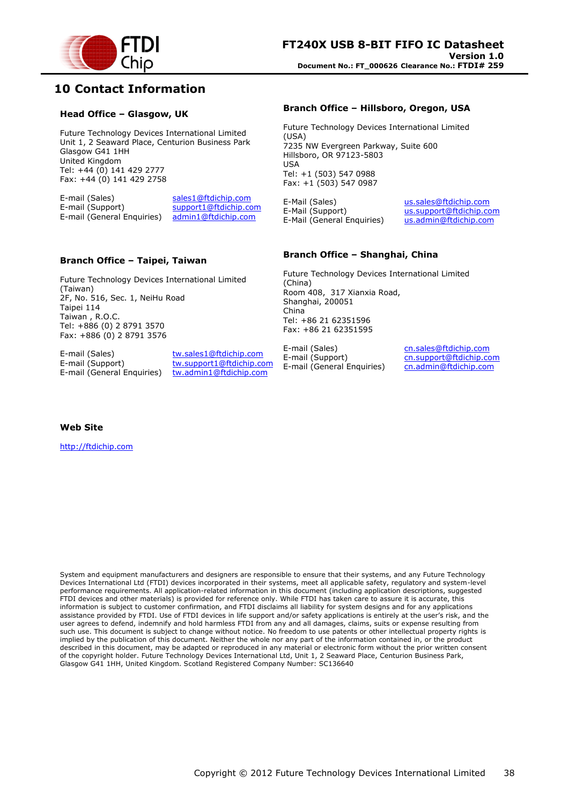

### <span id="page-37-0"></span>**10 Contact Information**

#### **Head Office – Glasgow, UK**

Future Technology Devices International Limited Unit 1, 2 Seaward Place, Centurion Business Park Glasgow G41 1HH United Kingdom Tel: +44 (0) 141 429 2777 Fax: +44 (0) 141 429 2758

E-mail (Sales) sales1@ftdichip.com<br>E-mail (Support) support1@ftdichip.com support1@ftdichip.com E-mail (General Enquiries) admin1@ftdichip.com

#### **Branch Office – Taipei, Taiwan**

Future Technology Devices International Limited (Taiwan) 2F, No. 516, Sec. 1, NeiHu Road Taipei 114 Taiwan , R.O.C. Tel: +886 (0) 2 8791 3570 Fax: +886 (0) 2 8791 3576

E-mail (Sales) tw.sales1@ftdichip.com E-mail (General Enquiries) tw.admin1@ftdichip.com

E-mail (Support) tw.support1@ftdichip.com

#### **Branch Office – Hillsboro, Oregon, USA**

Future Technology Devices International Limited (USA) 7235 NW Evergreen Parkway, Suite 600 Hillsboro, OR 97123-5803 USA Tel: +1 (503) 547 0988 Fax: +1 (503) 547 0987

E-Mail (Sales) us.sales@ftdichip.com<br>E-Mail (Support) us.support@ftdichip.co E-Mail (General Enquiries)

us.support@ftdichip.com<br>us.admin@ftdichip.com

#### **Branch Office – Shanghai, China**

Future Technology Devices International Limited (China) Room 408, 317 Xianxia Road, Shanghai, 200051 China Tel: +86 21 62351596 Fax: +86 21 62351595

E-mail (Sales) cn.sales@ftdichip.com<br>E-mail (Support) cn.support@ftdichip.com E-mail (General Enquiries) cn.admin@ftdichip.com

cn.support@ftdichip.com

**Web Site**

http://ftdichip.com

System and equipment manufacturers and designers are responsible to ensure that their systems, and any Future Technology Devices International Ltd (FTDI) devices incorporated in their systems, meet all applicable safety, regulatory and system-level performance requirements. All application-related information in this document (including application descriptions, suggested FTDI devices and other materials) is provided for reference only. While FTDI has taken care to assure it is accurate, this information is subject to customer confirmation, and FTDI disclaims all liability for system designs and for any applications assistance provided by FTDI. Use of FTDI devices in life support and/or safety applications is entirely at the user"s risk, and the user agrees to defend, indemnify and hold harmless FTDI from any and all damages, claims, suits or expense resulting from such use. This document is subject to change without notice. No freedom to use patents or other intellectual property rights is implied by the publication of this document. Neither the whole nor any part of the information contained in, or the product described in this document, may be adapted or reproduced in any material or electronic form without the prior written consent of the copyright holder. Future Technology Devices International Ltd, Unit 1, 2 Seaward Place, Centurion Business Park, Glasgow G41 1HH, United Kingdom. Scotland Registered Company Number: SC136640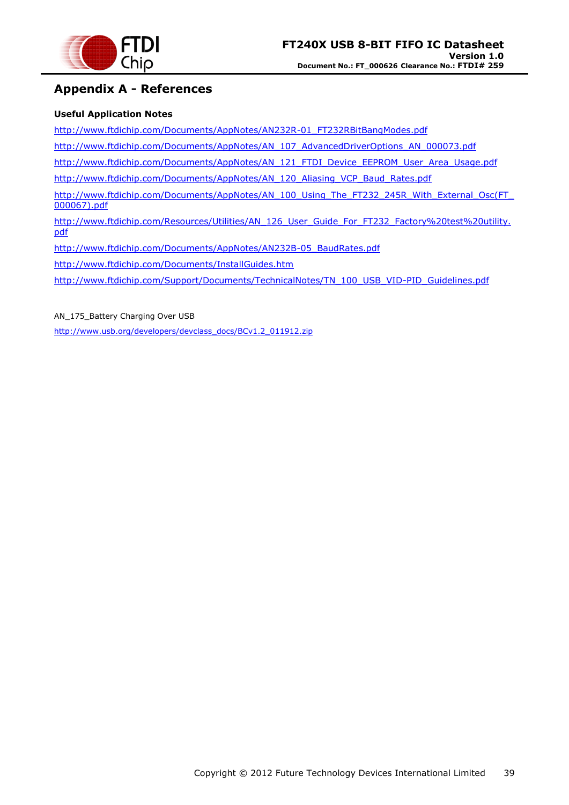

### <span id="page-38-0"></span>**Appendix A - References**

#### **Useful Application Notes**

[http://www.ftdichip.com/Documents/AppNotes/AN232R-01\\_FT232RBitBangModes.pdf](http://www.ftdichip.com/Documents/AppNotes/AN232R-01_FT232RBitBangModes.pdf)

[http://www.ftdichip.com/Documents/AppNotes/AN\\_107\\_AdvancedDriverOptions\\_AN\\_000073.pdf](http://www.ftdichip.com/Documents/AppNotes/AN_107_AdvancedDriverOptions_AN_000073.pdf)

[http://www.ftdichip.com/Documents/AppNotes/AN\\_121\\_FTDI\\_Device\\_EEPROM\\_User\\_Area\\_Usage.pdf](http://www.ftdichip.com/Documents/AppNotes/AN_121_FTDI_Device_EEPROM_User_Area_Usage.pdf)

[http://www.ftdichip.com/Documents/AppNotes/AN\\_120\\_Aliasing\\_VCP\\_Baud\\_Rates.pdf](http://www.ftdichip.com/Documents/AppNotes/AN_120_Aliasing_VCP_Baud_Rates.pdf)

[http://www.ftdichip.com/Documents/AppNotes/AN\\_100\\_Using\\_The\\_FT232\\_245R\\_With\\_External\\_Osc\(FT\\_](http://www.ftdichip.com/Documents/AppNotes/AN_100_Using_The_FT232_245R_With_External_Osc(FT_000067).pdf) [000067\).pdf](http://www.ftdichip.com/Documents/AppNotes/AN_100_Using_The_FT232_245R_With_External_Osc(FT_000067).pdf)

[http://www.ftdichip.com/Resources/Utilities/AN\\_126\\_User\\_Guide\\_For\\_FT232\\_Factory%20test%20utility.](http://www.ftdichip.com/Resources/Utilities/AN_126_User_Guide_For_FT232_Factory%20test%20utility.pdf) [pdf](http://www.ftdichip.com/Resources/Utilities/AN_126_User_Guide_For_FT232_Factory%20test%20utility.pdf)

[http://www.ftdichip.com/Documents/AppNotes/AN232B-05\\_BaudRates.pdf](http://www.ftdichip.com/Documents/AppNotes/AN232B-05_BaudRates.pdf)

<http://www.ftdichip.com/Documents/InstallGuides.htm>

[http://www.ftdichip.com/Support/Documents/TechnicalNotes/TN\\_100\\_USB\\_VID-PID\\_Guidelines.pdf](http://www.ftdichip.com/Support/Documents/TechnicalNotes/TN_100_USB_VID-PID_Guidelines.pdf)

AN 175 Battery Charging Over USB

[http://www.usb.org/developers/devclass\\_docs/BCv1.2\\_011912.zip](http://www.usb.org/developers/devclass_docs/BCv1.2_011912.zip)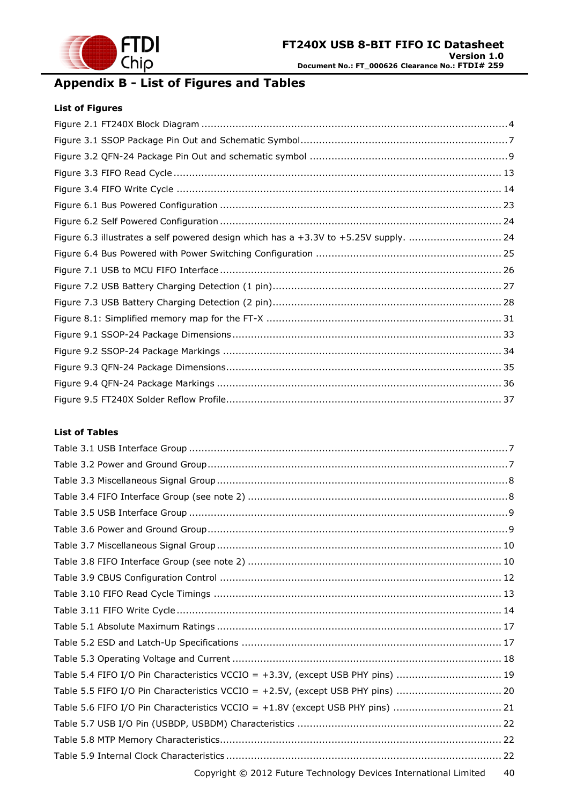

# <span id="page-39-0"></span>**Appendix B - List of Figures and Tables**

#### **List of Figures**

| Figure 6.3 illustrates a self powered design which has a +3.3V to +5.25V supply.  24 |  |
|--------------------------------------------------------------------------------------|--|
|                                                                                      |  |
|                                                                                      |  |
|                                                                                      |  |
|                                                                                      |  |
|                                                                                      |  |
|                                                                                      |  |
|                                                                                      |  |
|                                                                                      |  |
|                                                                                      |  |
|                                                                                      |  |

#### **List of Tables**

| Table 5.4 FIFO I/O Pin Characteristics VCCIO = +3.3V, (except USB PHY pins)  19 |    |
|---------------------------------------------------------------------------------|----|
| Table 5.5 FIFO I/O Pin Characteristics VCCIO = +2.5V, (except USB PHY pins)  20 |    |
| Table 5.6 FIFO I/O Pin Characteristics VCCIO = +1.8V (except USB PHY pins)  21  |    |
|                                                                                 |    |
|                                                                                 |    |
|                                                                                 |    |
| Copyright © 2012 Future Technology Devices International Limited                | 40 |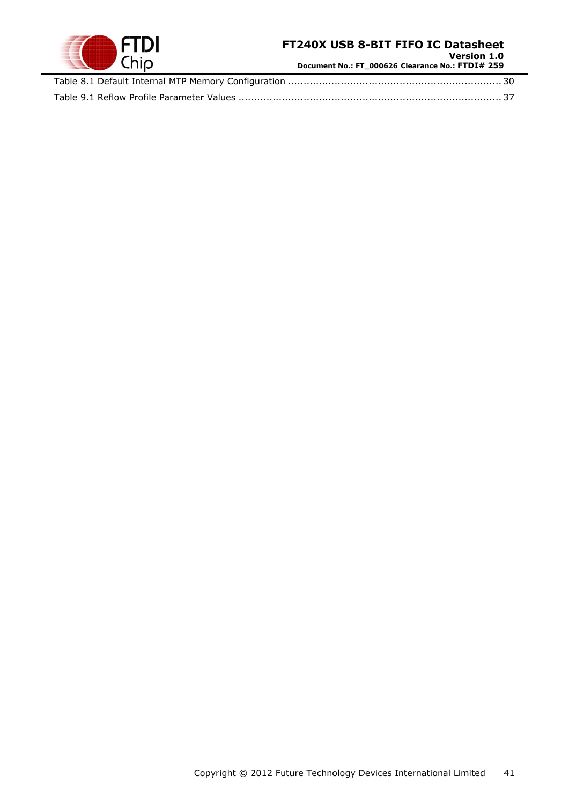

**Version 1.0 Document No.: FT\_000626 Clearance No.: FTDI# 259**